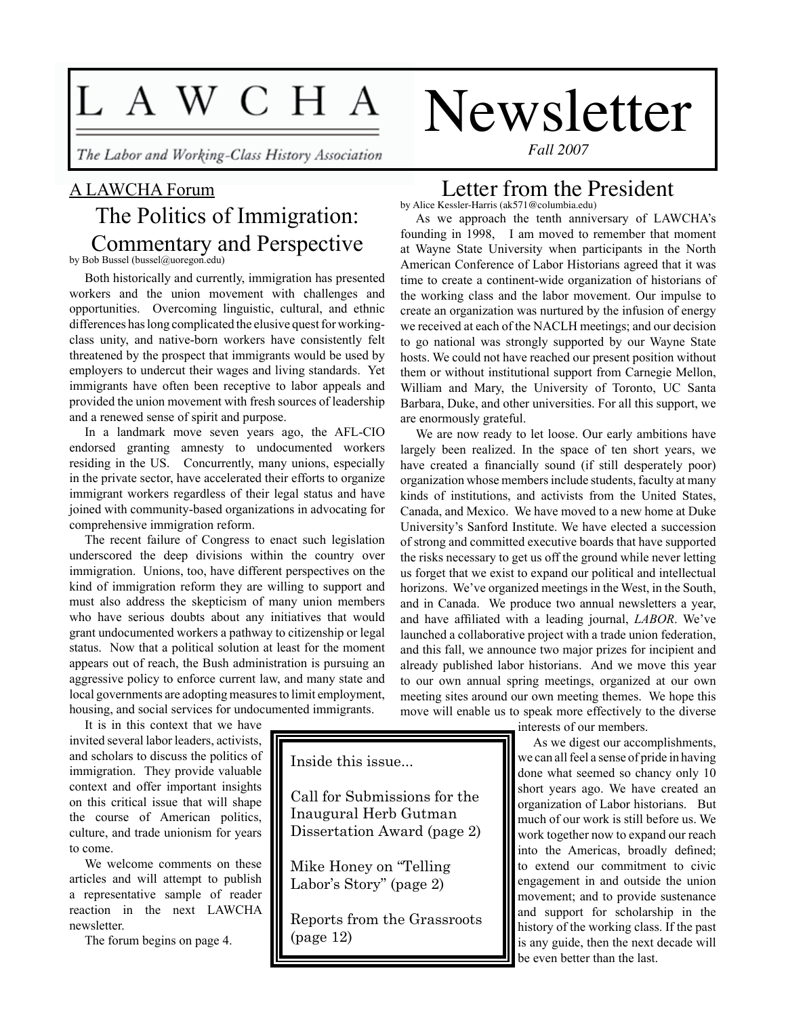# L A W C H A

The Labor and Working-Class History Association

# A LAWCHA Forum The Politics of Immigration: Commentary and Perspective

by Bob Bussel (bussel@uoregon.edu)

Both historically and currently, immigration has presented workers and the union movement with challenges and opportunities. Overcoming linguistic, cultural, and ethnic differences has long complicated the elusive quest for workingclass unity, and native-born workers have consistently felt threatened by the prospect that immigrants would be used by employers to undercut their wages and living standards. Yet immigrants have often been receptive to labor appeals and provided the union movement with fresh sources of leadership and a renewed sense of spirit and purpose.

In a landmark move seven years ago, the AFL-CIO endorsed granting amnesty to undocumented workers residing in the US. Concurrently, many unions, especially in the private sector, have accelerated their efforts to organize immigrant workers regardless of their legal status and have joined with community-based organizations in advocating for comprehensive immigration reform.

The recent failure of Congress to enact such legislation underscored the deep divisions within the country over immigration. Unions, too, have different perspectives on the kind of immigration reform they are willing to support and must also address the skepticism of many union members who have serious doubts about any initiatives that would grant undocumented workers a pathway to citizenship or legal status. Now that a political solution at least for the moment appears out of reach, the Bush administration is pursuing an aggressive policy to enforce current law, and many state and local governments are adopting measures to limit employment, housing, and social services for undocumented immigrants.

It is in this context that we have invited several labor leaders, activists, and scholars to discuss the politics of immigration. They provide valuable context and offer important insights on this critical issue that will shape the course of American politics, culture, and trade unionism for years to come.

We welcome comments on these articles and will attempt to publish a representative sample of reader reaction in the next LAWCHA newsletter.

The forum begins on page 4.

*Fall 2007*

Newsletter

#### Letter from the President by Alice Kessler-Harris (ak571@columbia.edu)

As we approach the tenth anniversary of LAWCHA's founding in 1998, I am moved to remember that moment at Wayne State University when participants in the North American Conference of Labor Historians agreed that it was time to create a continent-wide organization of historians of the working class and the labor movement. Our impulse to create an organization was nurtured by the infusion of energy we received at each of the NACLH meetings; and our decision to go national was strongly supported by our Wayne State hosts. We could not have reached our present position without them or without institutional support from Carnegie Mellon, William and Mary, the University of Toronto, UC Santa Barbara, Duke, and other universities. For all this support, we are enormously grateful.

We are now ready to let loose. Our early ambitions have largely been realized. In the space of ten short years, we have created a financially sound (if still desperately poor) organization whose members include students, faculty at many kinds of institutions, and activists from the United States, Canada, and Mexico. We have moved to a new home at Duke University's Sanford Institute. We have elected a succession of strong and committed executive boards that have supported the risks necessary to get us off the ground while never letting us forget that we exist to expand our political and intellectual horizons. We've organized meetings in the West, in the South, and in Canada. We produce two annual newsletters a year, and have affiliated with a leading journal, *LABOR*. We've launched a collaborative project with a trade union federation, and this fall, we announce two major prizes for incipient and already published labor historians. And we move this year to our own annual spring meetings, organized at our own meeting sites around our own meeting themes. We hope this move will enable us to speak more effectively to the diverse

Inside this issue...

Call for Submissions for the Inaugural Herb Gutman Dissertation Award (page 2)

Mike Honey on "Telling Labor's Story" (page 2)

Reports from the Grassroots (page 12)

interests of our members.

As we digest our accomplishments, we can all feel a sense of pride in having done what seemed so chancy only 10 short years ago. We have created an organization of Labor historians. But much of our work is still before us. We work together now to expand our reach into the Americas, broadly defined; to extend our commitment to civic engagement in and outside the union movement; and to provide sustenance and support for scholarship in the history of the working class. If the past is any guide, then the next decade will be even better than the last.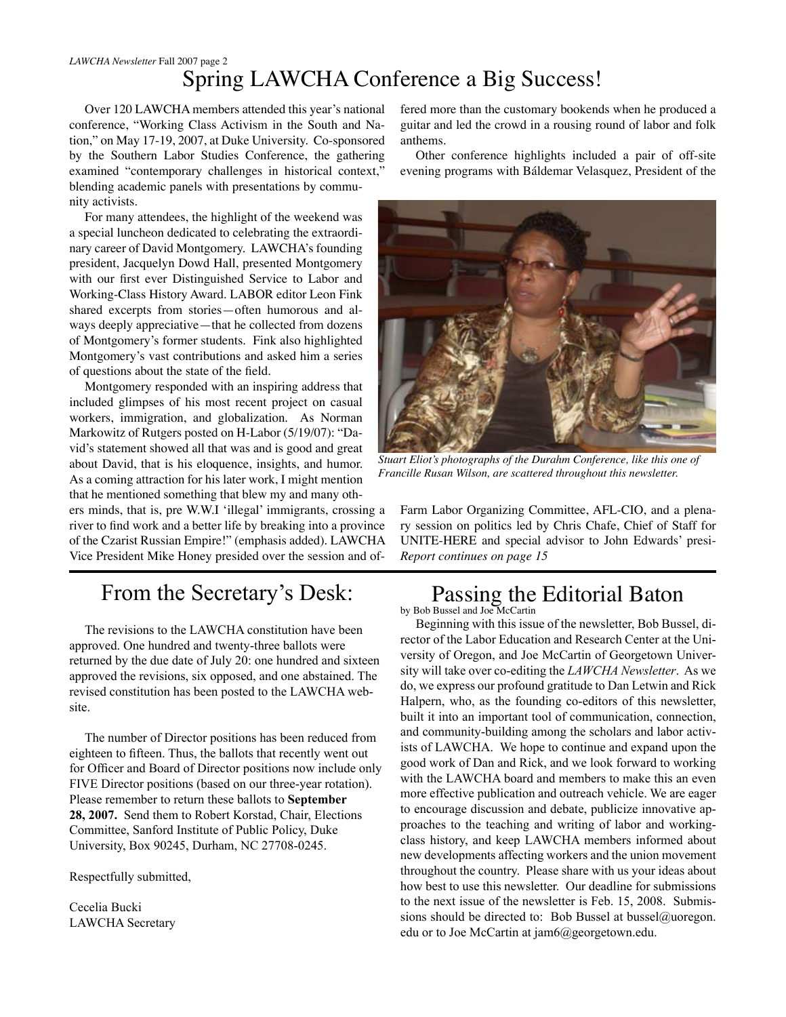# Spring LAWCHA Conference a Big Success!

Over 120 LAWCHA members attended this year's national conference, "Working Class Activism in the South and Nation," on May 17-19, 2007, at Duke University. Co-sponsored by the Southern Labor Studies Conference, the gathering examined "contemporary challenges in historical context," blending academic panels with presentations by community activists.

For many attendees, the highlight of the weekend was a special luncheon dedicated to celebrating the extraordinary career of David Montgomery. LAWCHA's founding president, Jacquelyn Dowd Hall, presented Montgomery with our first ever Distinguished Service to Labor and Working-Class History Award. LABOR editor Leon Fink shared excerpts from stories—often humorous and always deeply appreciative—that he collected from dozens of Montgomery's former students. Fink also highlighted Montgomery's vast contributions and asked him a series of questions about the state of the field.

Montgomery responded with an inspiring address that included glimpses of his most recent project on casual workers, immigration, and globalization. As Norman Markowitz of Rutgers posted on H-Labor (5/19/07): "David's statement showed all that was and is good and great about David, that is his eloquence, insights, and humor. As a coming attraction for his later work, I might mention that he mentioned something that blew my and many oth-

ers minds, that is, pre W.W.I 'illegal' immigrants, crossing a river to find work and a better life by breaking into a province of the Czarist Russian Empire!" (emphasis added). LAWCHA Vice President Mike Honey presided over the session and of-

# From the Secretary's Desk:

The revisions to the LAWCHA constitution have been approved. One hundred and twenty-three ballots were returned by the due date of July 20: one hundred and sixteen approved the revisions, six opposed, and one abstained. The revised constitution has been posted to the LAWCHA website.

The number of Director positions has been reduced from eighteen to fifteen. Thus, the ballots that recently went out for Officer and Board of Director positions now include only FIVE Director positions (based on our three-year rotation). Please remember to return these ballots to **September 28, 2007.** Send them to Robert Korstad, Chair, Elections Committee, Sanford Institute of Public Policy, Duke University, Box 90245, Durham, NC 27708-0245.

Respectfully submitted,

Cecelia Bucki LAWCHA Secretary fered more than the customary bookends when he produced a guitar and led the crowd in a rousing round of labor and folk anthems.

Other conference highlights included a pair of off-site evening programs with Báldemar Velasquez, President of the



*Stuart Eliot's photographs of the Durahm Conference, like this one of Francille Rusan Wilson, are scattered throughout this newsletter.*

Farm Labor Organizing Committee, AFL-CIO, and a plenary session on politics led by Chris Chafe, Chief of Staff for UNITE-HERE and special advisor to John Edwards' presi-*Report continues on page 15*

# Passing the Editorial Baton

by Bob Bussel and Joe McCartin

Beginning with this issue of the newsletter, Bob Bussel, director of the Labor Education and Research Center at the University of Oregon, and Joe McCartin of Georgetown University will take over co-editing the *LAWCHA Newsletter*. As we do, we express our profound gratitude to Dan Letwin and Rick Halpern, who, as the founding co-editors of this newsletter, built it into an important tool of communication, connection, and community-building among the scholars and labor activists of LAWCHA. We hope to continue and expand upon the good work of Dan and Rick, and we look forward to working with the LAWCHA board and members to make this an even more effective publication and outreach vehicle. We are eager to encourage discussion and debate, publicize innovative approaches to the teaching and writing of labor and workingclass history, and keep LAWCHA members informed about new developments affecting workers and the union movement throughout the country. Please share with us your ideas about how best to use this newsletter. Our deadline for submissions to the next issue of the newsletter is Feb. 15, 2008. Submissions should be directed to: Bob Bussel at bussel@uoregon. edu or to Joe McCartin at jam6@georgetown.edu.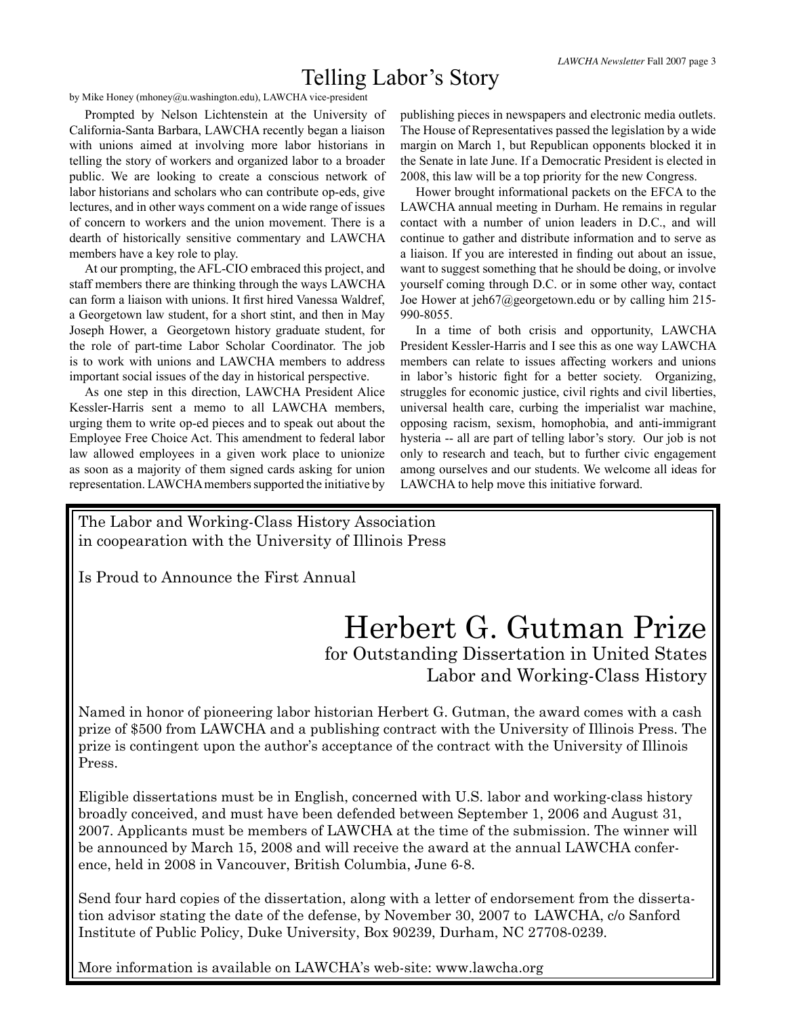# Telling Labor's Story

by Mike Honey (mhoney@u.washington.edu), LAWCHA vice-president

Prompted by Nelson Lichtenstein at the University of California-Santa Barbara, LAWCHA recently began a liaison with unions aimed at involving more labor historians in telling the story of workers and organized labor to a broader public. We are looking to create a conscious network of labor historians and scholars who can contribute op-eds, give lectures, and in other ways comment on a wide range of issues of concern to workers and the union movement. There is a dearth of historically sensitive commentary and LAWCHA members have a key role to play.

At our prompting, the AFL-CIO embraced this project, and staff members there are thinking through the ways LAWCHA can form a liaison with unions. It first hired Vanessa Waldref, a Georgetown law student, for a short stint, and then in May Joseph Hower, a Georgetown history graduate student, for the role of part-time Labor Scholar Coordinator. The job is to work with unions and LAWCHA members to address important social issues of the day in historical perspective.

As one step in this direction, LAWCHA President Alice Kessler-Harris sent a memo to all LAWCHA members, urging them to write op-ed pieces and to speak out about the Employee Free Choice Act. This amendment to federal labor law allowed employees in a given work place to unionize as soon as a majority of them signed cards asking for union representation. LAWCHA members supported the initiative by publishing pieces in newspapers and electronic media outlets. The House of Representatives passed the legislation by a wide margin on March 1, but Republican opponents blocked it in the Senate in late June. If a Democratic President is elected in 2008, this law will be a top priority for the new Congress.

Hower brought informational packets on the EFCA to the LAWCHA annual meeting in Durham. He remains in regular contact with a number of union leaders in D.C., and will continue to gather and distribute information and to serve as a liaison. If you are interested in finding out about an issue, want to suggest something that he should be doing, or involve yourself coming through D.C. or in some other way, contact Joe Hower at jeh67@georgetown.edu or by calling him 215- 990-8055.

In a time of both crisis and opportunity, LAWCHA President Kessler-Harris and I see this as one way LAWCHA members can relate to issues affecting workers and unions in labor's historic fight for a better society. Organizing, struggles for economic justice, civil rights and civil liberties, universal health care, curbing the imperialist war machine, opposing racism, sexism, homophobia, and anti-immigrant hysteria -- all are part of telling labor's story. Our job is not only to research and teach, but to further civic engagement among ourselves and our students. We welcome all ideas for LAWCHA to help move this initiative forward.

The Labor and Working-Class History Association in coopearation with the University of Illinois Press

Is Proud to Announce the First Annual

# Herbert G. Gutman Prize for Outstanding Dissertation in United States Labor and Working-Class History

Named in honor of pioneering labor historian Herbert G. Gutman, the award comes with a cash prize of \$500 from LAWCHA and a publishing contract with the University of Illinois Press. The prize is contingent upon the author's acceptance of the contract with the University of Illinois Press.

Eligible dissertations must be in English, concerned with U.S. labor and working-class history broadly conceived, and must have been defended between September 1, 2006 and August 31, 2007. Applicants must be members of LAWCHA at the time of the submission. The winner will be announced by March 15, 2008 and will receive the award at the annual LAWCHA conference, held in 2008 in Vancouver, British Columbia, June 6-8.

Send four hard copies of the dissertation, along with a letter of endorsement from the dissertation advisor stating the date of the defense, by November 30, 2007 to LAWCHA, c/o Sanford Institute of Public Policy, Duke University, Box 90239, Durham, NC 27708-0239.

More information is available on LAWCHA's web-site: www.lawcha.org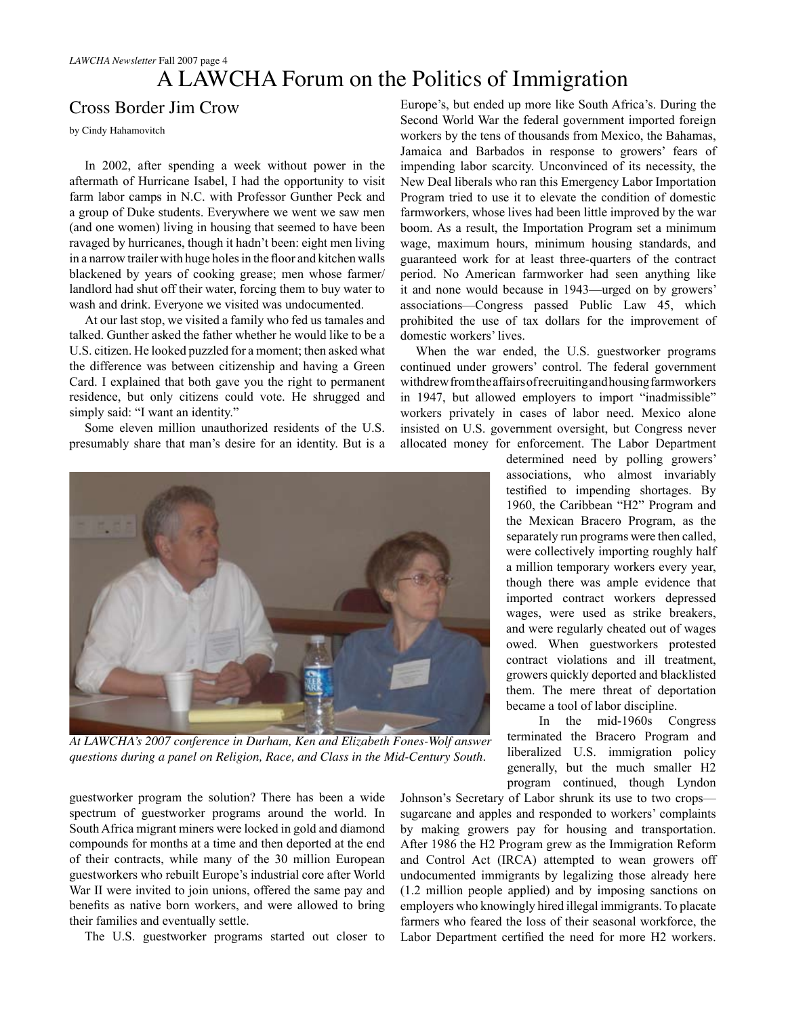# A LAWCHA Forum on the Politics of Immigration

### Cross Border Jim Crow

by Cindy Hahamovitch

In 2002, after spending a week without power in the aftermath of Hurricane Isabel, I had the opportunity to visit farm labor camps in N.C. with Professor Gunther Peck and a group of Duke students. Everywhere we went we saw men (and one women) living in housing that seemed to have been ravaged by hurricanes, though it hadn't been: eight men living in a narrow trailer with huge holes in the floor and kitchen walls blackened by years of cooking grease; men whose farmer/ landlord had shut off their water, forcing them to buy water to wash and drink. Everyone we visited was undocumented.

At our last stop, we visited a family who fed us tamales and talked. Gunther asked the father whether he would like to be a U.S. citizen. He looked puzzled for a moment; then asked what the difference was between citizenship and having a Green Card. I explained that both gave you the right to permanent residence, but only citizens could vote. He shrugged and simply said: "I want an identity."

Some eleven million unauthorized residents of the U.S. presumably share that man's desire for an identity. But is a



*At LAWCHA's 2007 conference in Durham, Ken and Elizabeth Fones-Wolf answer questions during a panel on Religion, Race, and Class in the Mid-Century South.*

guestworker program the solution? There has been a wide spectrum of guestworker programs around the world. In South Africa migrant miners were locked in gold and diamond compounds for months at a time and then deported at the end of their contracts, while many of the 30 million European guestworkers who rebuilt Europe's industrial core after World War II were invited to join unions, offered the same pay and benefits as native born workers, and were allowed to bring their families and eventually settle.

The U.S. guestworker programs started out closer to

Europe's, but ended up more like South Africa's. During the Second World War the federal government imported foreign workers by the tens of thousands from Mexico, the Bahamas, Jamaica and Barbados in response to growers' fears of impending labor scarcity. Unconvinced of its necessity, the New Deal liberals who ran this Emergency Labor Importation Program tried to use it to elevate the condition of domestic farmworkers, whose lives had been little improved by the war boom. As a result, the Importation Program set a minimum wage, maximum hours, minimum housing standards, and guaranteed work for at least three-quarters of the contract period. No American farmworker had seen anything like it and none would because in 1943—urged on by growers' associations—Congress passed Public Law 45, which prohibited the use of tax dollars for the improvement of domestic workers' lives.

When the war ended, the U.S. guestworker programs continued under growers' control. The federal government withdrew from the affairs of recruiting and housing farmworkers in 1947, but allowed employers to import "inadmissible" workers privately in cases of labor need. Mexico alone insisted on U.S. government oversight, but Congress never allocated money for enforcement. The Labor Department

> determined need by polling growers' associations, who almost invariably testified to impending shortages. By 1960, the Caribbean "H2" Program and the Mexican Bracero Program, as the separately run programs were then called, were collectively importing roughly half a million temporary workers every year, though there was ample evidence that imported contract workers depressed wages, were used as strike breakers, and were regularly cheated out of wages owed. When guestworkers protested contract violations and ill treatment, growers quickly deported and blacklisted them. The mere threat of deportation became a tool of labor discipline.

> In the mid-1960s Congress terminated the Bracero Program and liberalized U.S. immigration policy generally, but the much smaller H2 program continued, though Lyndon

Johnson's Secretary of Labor shrunk its use to two crops sugarcane and apples and responded to workers' complaints by making growers pay for housing and transportation. After 1986 the H2 Program grew as the Immigration Reform and Control Act (IRCA) attempted to wean growers off undocumented immigrants by legalizing those already here (1.2 million people applied) and by imposing sanctions on employers who knowingly hired illegal immigrants. To placate farmers who feared the loss of their seasonal workforce, the Labor Department certified the need for more H2 workers.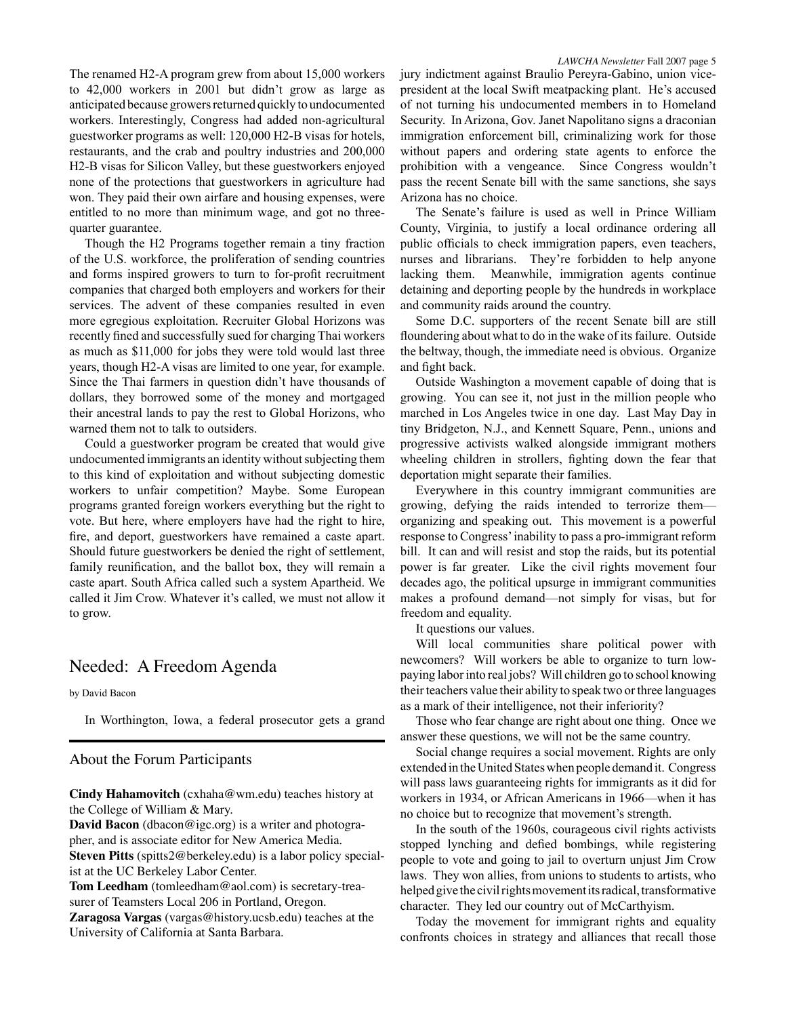The renamed H2-A program grew from about 15,000 workers to 42,000 workers in 2001 but didn't grow as large as anticipated because growers returned quickly to undocumented workers. Interestingly, Congress had added non-agricultural guestworker programs as well: 120,000 H2-B visas for hotels, restaurants, and the crab and poultry industries and 200,000 H2-B visas for Silicon Valley, but these guestworkers enjoyed none of the protections that guestworkers in agriculture had won. They paid their own airfare and housing expenses, were entitled to no more than minimum wage, and got no threequarter guarantee.

Though the H2 Programs together remain a tiny fraction of the U.S. workforce, the proliferation of sending countries and forms inspired growers to turn to for-profit recruitment companies that charged both employers and workers for their services. The advent of these companies resulted in even more egregious exploitation. Recruiter Global Horizons was recently fined and successfully sued for charging Thai workers as much as \$11,000 for jobs they were told would last three years, though H2-A visas are limited to one year, for example. Since the Thai farmers in question didn't have thousands of dollars, they borrowed some of the money and mortgaged their ancestral lands to pay the rest to Global Horizons, who warned them not to talk to outsiders.

Could a guestworker program be created that would give undocumented immigrants an identity without subjecting them to this kind of exploitation and without subjecting domestic workers to unfair competition? Maybe. Some European programs granted foreign workers everything but the right to vote. But here, where employers have had the right to hire, fire, and deport, guestworkers have remained a caste apart. Should future guestworkers be denied the right of settlement, family reunification, and the ballot box, they will remain a caste apart. South Africa called such a system Apartheid. We called it Jim Crow. Whatever it's called, we must not allow it to grow.

### Needed: A Freedom Agenda

by David Bacon

In Worthington, Iowa, a federal prosecutor gets a grand

#### About the Forum Participants

**Cindy Hahamovitch** (cxhaha@wm.edu) teaches history at the College of William & Mary.

**David Bacon** (dbacon@igc.org) is a writer and photographer, and is associate editor for New America Media. **Steven Pitts** (spitts2@berkeley.edu) is a labor policy specialist at the UC Berkeley Labor Center.

**Tom Leedham** (tomleedham@aol.com) is secretary-treasurer of Teamsters Local 206 in Portland, Oregon.

**Zaragosa Vargas** (vargas@history.ucsb.edu) teaches at the University of California at Santa Barbara.

jury indictment against Braulio Pereyra-Gabino, union vicepresident at the local Swift meatpacking plant. He's accused of not turning his undocumented members in to Homeland Security. In Arizona, Gov. Janet Napolitano signs a draconian immigration enforcement bill, criminalizing work for those without papers and ordering state agents to enforce the prohibition with a vengeance. Since Congress wouldn't pass the recent Senate bill with the same sanctions, she says Arizona has no choice.

The Senate's failure is used as well in Prince William County, Virginia, to justify a local ordinance ordering all public officials to check immigration papers, even teachers, nurses and librarians. They're forbidden to help anyone lacking them. Meanwhile, immigration agents continue detaining and deporting people by the hundreds in workplace and community raids around the country.

Some D.C. supporters of the recent Senate bill are still floundering about what to do in the wake of its failure. Outside the beltway, though, the immediate need is obvious. Organize and fight back.

Outside Washington a movement capable of doing that is growing. You can see it, not just in the million people who marched in Los Angeles twice in one day. Last May Day in tiny Bridgeton, N.J., and Kennett Square, Penn., unions and progressive activists walked alongside immigrant mothers wheeling children in strollers, fighting down the fear that deportation might separate their families.

Everywhere in this country immigrant communities are growing, defying the raids intended to terrorize them organizing and speaking out. This movement is a powerful response to Congress' inability to pass a pro-immigrant reform bill. It can and will resist and stop the raids, but its potential power is far greater. Like the civil rights movement four decades ago, the political upsurge in immigrant communities makes a profound demand—not simply for visas, but for freedom and equality.

It questions our values.

Will local communities share political power with newcomers? Will workers be able to organize to turn lowpaying labor into real jobs? Will children go to school knowing their teachers value their ability to speak two or three languages as a mark of their intelligence, not their inferiority?

Those who fear change are right about one thing. Once we answer these questions, we will not be the same country.

Social change requires a social movement. Rights are only extended in the United States when people demand it. Congress will pass laws guaranteeing rights for immigrants as it did for workers in 1934, or African Americans in 1966—when it has no choice but to recognize that movement's strength.

In the south of the 1960s, courageous civil rights activists stopped lynching and defied bombings, while registering people to vote and going to jail to overturn unjust Jim Crow laws. They won allies, from unions to students to artists, who helped give the civil rights movement its radical, transformative character. They led our country out of McCarthyism.

Today the movement for immigrant rights and equality confronts choices in strategy and alliances that recall those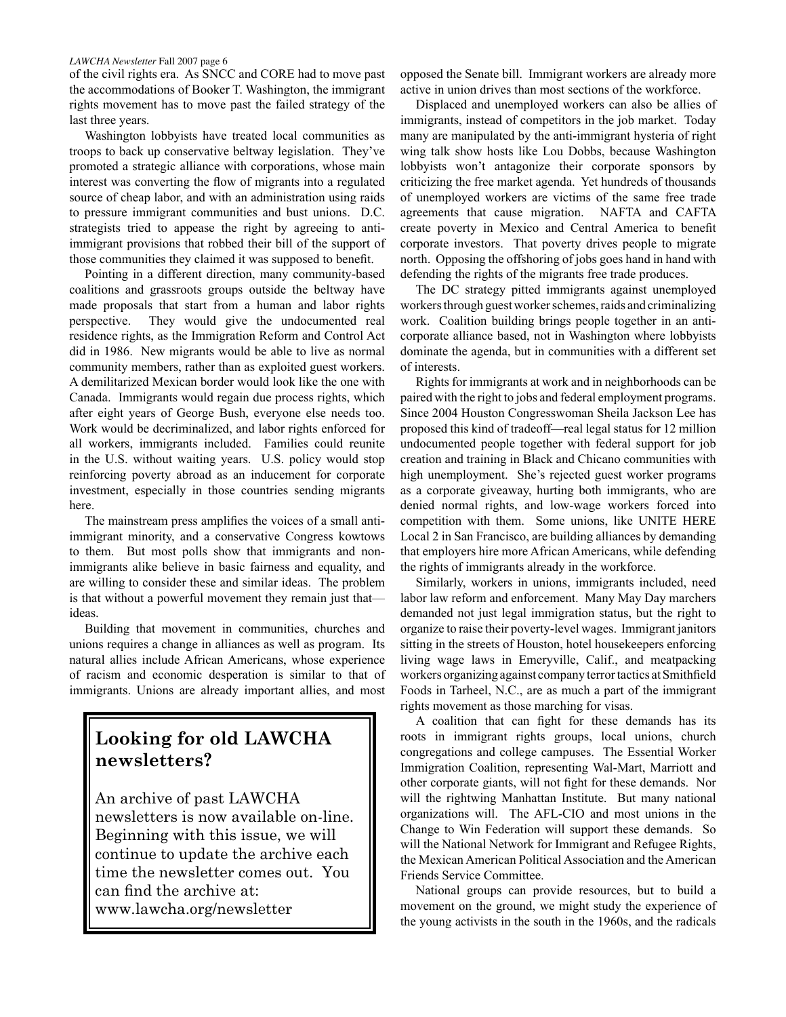of the civil rights era. As SNCC and CORE had to move past the accommodations of Booker T. Washington, the immigrant rights movement has to move past the failed strategy of the last three years.

Washington lobbyists have treated local communities as troops to back up conservative beltway legislation. They've promoted a strategic alliance with corporations, whose main interest was converting the flow of migrants into a regulated source of cheap labor, and with an administration using raids to pressure immigrant communities and bust unions. D.C. strategists tried to appease the right by agreeing to antiimmigrant provisions that robbed their bill of the support of those communities they claimed it was supposed to benefit.

Pointing in a different direction, many community-based coalitions and grassroots groups outside the beltway have made proposals that start from a human and labor rights perspective. They would give the undocumented real residence rights, as the Immigration Reform and Control Act did in 1986. New migrants would be able to live as normal community members, rather than as exploited guest workers. A demilitarized Mexican border would look like the one with Canada. Immigrants would regain due process rights, which after eight years of George Bush, everyone else needs too. Work would be decriminalized, and labor rights enforced for all workers, immigrants included. Families could reunite in the U.S. without waiting years. U.S. policy would stop reinforcing poverty abroad as an inducement for corporate investment, especially in those countries sending migrants here.

The mainstream press amplifies the voices of a small antiimmigrant minority, and a conservative Congress kowtows to them. But most polls show that immigrants and nonimmigrants alike believe in basic fairness and equality, and are willing to consider these and similar ideas. The problem is that without a powerful movement they remain just that ideas.

Building that movement in communities, churches and unions requires a change in alliances as well as program. Its natural allies include African Americans, whose experience of racism and economic desperation is similar to that of immigrants. Unions are already important allies, and most

### **Looking for old LAWCHA newsletters?**

An archive of past LAWCHA newsletters is now available on-line. Beginning with this issue, we will continue to update the archive each time the newsletter comes out. You can find the archive at: www.lawcha.org/newsletter

opposed the Senate bill. Immigrant workers are already more active in union drives than most sections of the workforce.

Displaced and unemployed workers can also be allies of immigrants, instead of competitors in the job market. Today many are manipulated by the anti-immigrant hysteria of right wing talk show hosts like Lou Dobbs, because Washington lobbyists won't antagonize their corporate sponsors by criticizing the free market agenda. Yet hundreds of thousands of unemployed workers are victims of the same free trade agreements that cause migration. NAFTA and CAFTA create poverty in Mexico and Central America to benefit corporate investors. That poverty drives people to migrate north. Opposing the offshoring of jobs goes hand in hand with defending the rights of the migrants free trade produces.

The DC strategy pitted immigrants against unemployed workers through guest worker schemes, raids and criminalizing work. Coalition building brings people together in an anticorporate alliance based, not in Washington where lobbyists dominate the agenda, but in communities with a different set of interests.

Rights for immigrants at work and in neighborhoods can be paired with the right to jobs and federal employment programs. Since 2004 Houston Congresswoman Sheila Jackson Lee has proposed this kind of tradeoff—real legal status for 12 million undocumented people together with federal support for job creation and training in Black and Chicano communities with high unemployment. She's rejected guest worker programs as a corporate giveaway, hurting both immigrants, who are denied normal rights, and low-wage workers forced into competition with them. Some unions, like UNITE HERE Local 2 in San Francisco, are building alliances by demanding that employers hire more African Americans, while defending the rights of immigrants already in the workforce.

Similarly, workers in unions, immigrants included, need labor law reform and enforcement. Many May Day marchers demanded not just legal immigration status, but the right to organize to raise their poverty-level wages. Immigrant janitors sitting in the streets of Houston, hotel housekeepers enforcing living wage laws in Emeryville, Calif., and meatpacking workers organizing against company terror tactics at Smithfield Foods in Tarheel, N.C., are as much a part of the immigrant rights movement as those marching for visas.

A coalition that can fight for these demands has its roots in immigrant rights groups, local unions, church congregations and college campuses. The Essential Worker Immigration Coalition, representing Wal-Mart, Marriott and other corporate giants, will not fight for these demands. Nor will the rightwing Manhattan Institute. But many national organizations will. The AFL-CIO and most unions in the Change to Win Federation will support these demands. So will the National Network for Immigrant and Refugee Rights, the Mexican American Political Association and the American Friends Service Committee.

National groups can provide resources, but to build a movement on the ground, we might study the experience of the young activists in the south in the 1960s, and the radicals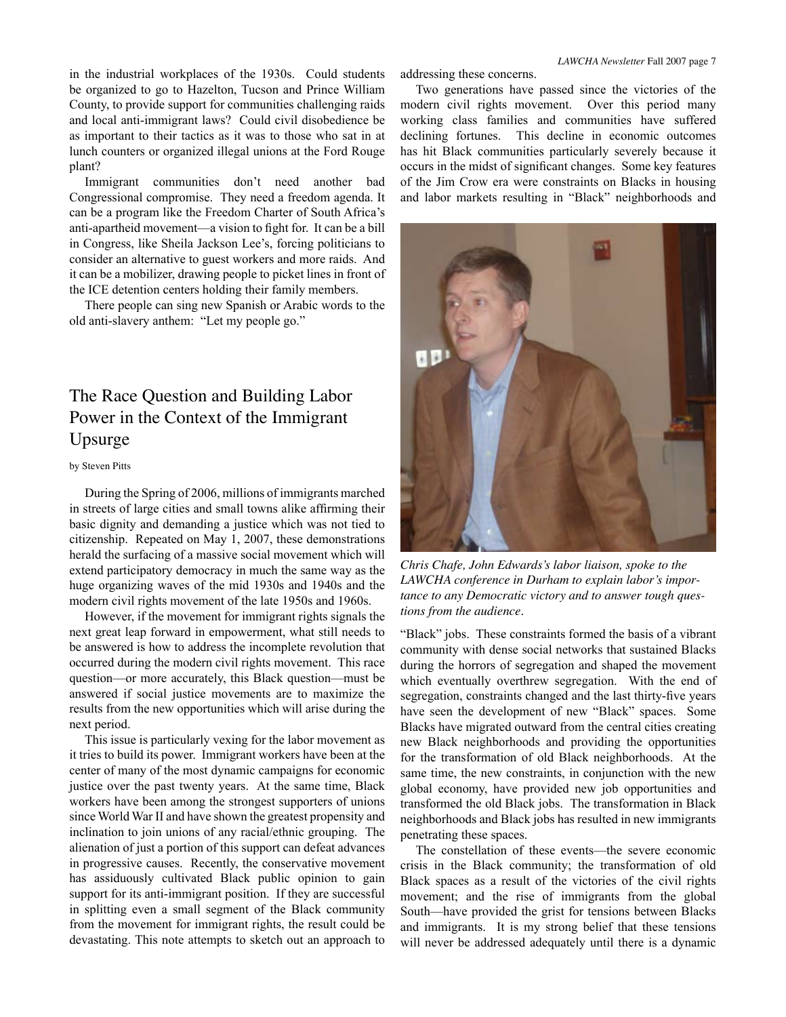in the industrial workplaces of the 1930s. Could students be organized to go to Hazelton, Tucson and Prince William County, to provide support for communities challenging raids and local anti-immigrant laws? Could civil disobedience be as important to their tactics as it was to those who sat in at lunch counters or organized illegal unions at the Ford Rouge plant?

Immigrant communities don't need another bad Congressional compromise. They need a freedom agenda. It can be a program like the Freedom Charter of South Africa's anti-apartheid movement—a vision to fight for. It can be a bill in Congress, like Sheila Jackson Lee's, forcing politicians to consider an alternative to guest workers and more raids. And it can be a mobilizer, drawing people to picket lines in front of the ICE detention centers holding their family members.

There people can sing new Spanish or Arabic words to the old anti-slavery anthem: "Let my people go."

### The Race Question and Building Labor Power in the Context of the Immigrant Upsurge

#### by Steven Pitts

During the Spring of 2006, millions of immigrants marched in streets of large cities and small towns alike affirming their basic dignity and demanding a justice which was not tied to citizenship. Repeated on May 1, 2007, these demonstrations herald the surfacing of a massive social movement which will extend participatory democracy in much the same way as the huge organizing waves of the mid 1930s and 1940s and the modern civil rights movement of the late 1950s and 1960s.

However, if the movement for immigrant rights signals the next great leap forward in empowerment, what still needs to be answered is how to address the incomplete revolution that occurred during the modern civil rights movement. This race question—or more accurately, this Black question—must be answered if social justice movements are to maximize the results from the new opportunities which will arise during the next period.

This issue is particularly vexing for the labor movement as it tries to build its power. Immigrant workers have been at the center of many of the most dynamic campaigns for economic justice over the past twenty years. At the same time, Black workers have been among the strongest supporters of unions since World War II and have shown the greatest propensity and inclination to join unions of any racial/ethnic grouping. The alienation of just a portion of this support can defeat advances in progressive causes. Recently, the conservative movement has assiduously cultivated Black public opinion to gain support for its anti-immigrant position. If they are successful in splitting even a small segment of the Black community from the movement for immigrant rights, the result could be devastating. This note attempts to sketch out an approach to

addressing these concerns.

Two generations have passed since the victories of the modern civil rights movement. Over this period many working class families and communities have suffered declining fortunes. This decline in economic outcomes has hit Black communities particularly severely because it occurs in the midst of significant changes. Some key features of the Jim Crow era were constraints on Blacks in housing and labor markets resulting in "Black" neighborhoods and



*Chris Chafe, John Edwards's labor liaison, spoke to the LAWCHA conference in Durham to explain labor's importance to any Democratic victory and to answer tough questions from the audience.*

"Black" jobs. These constraints formed the basis of a vibrant community with dense social networks that sustained Blacks during the horrors of segregation and shaped the movement which eventually overthrew segregation. With the end of segregation, constraints changed and the last thirty-five years have seen the development of new "Black" spaces. Some Blacks have migrated outward from the central cities creating new Black neighborhoods and providing the opportunities for the transformation of old Black neighborhoods. At the same time, the new constraints, in conjunction with the new global economy, have provided new job opportunities and transformed the old Black jobs. The transformation in Black neighborhoods and Black jobs has resulted in new immigrants penetrating these spaces.

The constellation of these events—the severe economic crisis in the Black community; the transformation of old Black spaces as a result of the victories of the civil rights movement; and the rise of immigrants from the global South—have provided the grist for tensions between Blacks and immigrants. It is my strong belief that these tensions will never be addressed adequately until there is a dynamic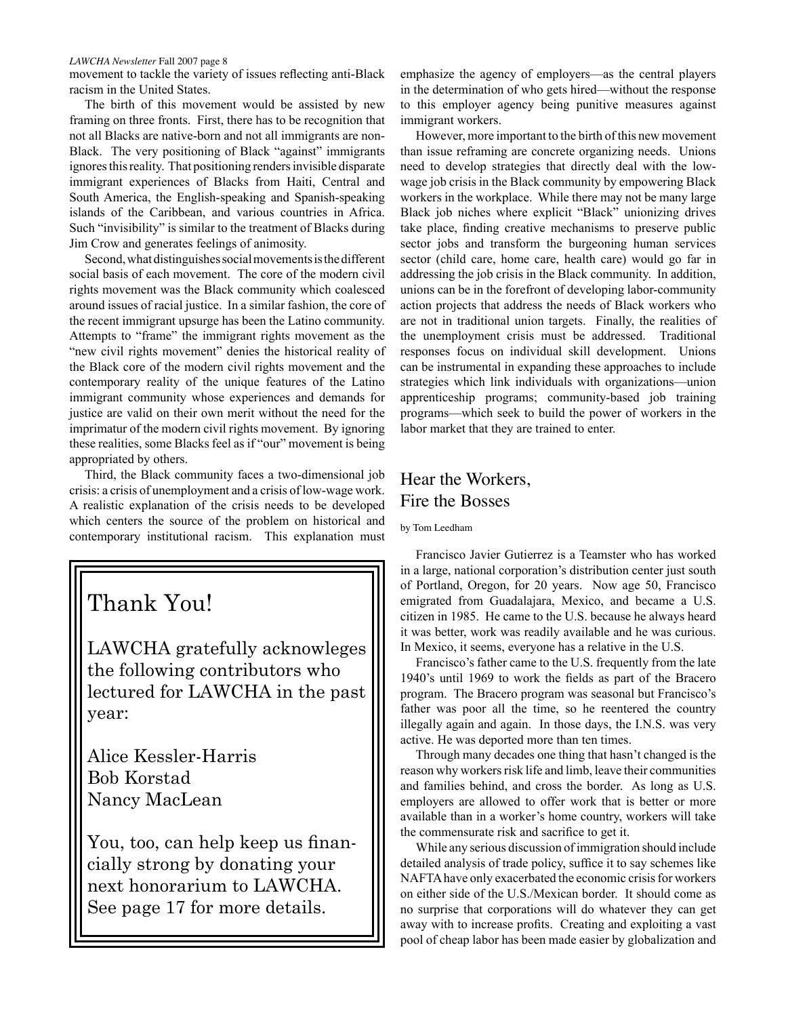movement to tackle the variety of issues reflecting anti-Black racism in the United States.

The birth of this movement would be assisted by new framing on three fronts. First, there has to be recognition that not all Blacks are native-born and not all immigrants are non-Black. The very positioning of Black "against" immigrants ignores this reality. That positioning renders invisible disparate immigrant experiences of Blacks from Haiti, Central and South America, the English-speaking and Spanish-speaking islands of the Caribbean, and various countries in Africa. Such "invisibility" is similar to the treatment of Blacks during Jim Crow and generates feelings of animosity.

Second, what distinguishes social movements is the different social basis of each movement. The core of the modern civil rights movement was the Black community which coalesced around issues of racial justice. In a similar fashion, the core of the recent immigrant upsurge has been the Latino community. Attempts to "frame" the immigrant rights movement as the "new civil rights movement" denies the historical reality of the Black core of the modern civil rights movement and the contemporary reality of the unique features of the Latino immigrant community whose experiences and demands for justice are valid on their own merit without the need for the imprimatur of the modern civil rights movement. By ignoring these realities, some Blacks feel as if "our" movement is being appropriated by others.

Third, the Black community faces a two-dimensional job crisis: a crisis of unemployment and a crisis of low-wage work. A realistic explanation of the crisis needs to be developed which centers the source of the problem on historical and contemporary institutional racism. This explanation must

# Thank You!

LAWCHA gratefully acknowleges the following contributors who lectured for LAWCHA in the past year:

Alice Kessler-Harris Bob Korstad Nancy MacLean

You, too, can help keep us financially strong by donating your next honorarium to LAWCHA. See page 17 for more details.

emphasize the agency of employers—as the central players in the determination of who gets hired—without the response to this employer agency being punitive measures against immigrant workers.

However, more important to the birth of this new movement than issue reframing are concrete organizing needs. Unions need to develop strategies that directly deal with the lowwage job crisis in the Black community by empowering Black workers in the workplace. While there may not be many large Black job niches where explicit "Black" unionizing drives take place, finding creative mechanisms to preserve public sector jobs and transform the burgeoning human services sector (child care, home care, health care) would go far in addressing the job crisis in the Black community. In addition, unions can be in the forefront of developing labor-community action projects that address the needs of Black workers who are not in traditional union targets. Finally, the realities of the unemployment crisis must be addressed. Traditional responses focus on individual skill development. Unions can be instrumental in expanding these approaches to include strategies which link individuals with organizations—union apprenticeship programs; community-based job training programs—which seek to build the power of workers in the labor market that they are trained to enter.

### Hear the Workers, Fire the Bosses

#### by Tom Leedham

Francisco Javier Gutierrez is a Teamster who has worked in a large, national corporation's distribution center just south of Portland, Oregon, for 20 years. Now age 50, Francisco emigrated from Guadalajara, Mexico, and became a U.S. citizen in 1985. He came to the U.S. because he always heard it was better, work was readily available and he was curious. In Mexico, it seems, everyone has a relative in the U.S.

Francisco's father came to the U.S. frequently from the late 1940's until 1969 to work the fields as part of the Bracero program. The Bracero program was seasonal but Francisco's father was poor all the time, so he reentered the country illegally again and again. In those days, the I.N.S. was very active. He was deported more than ten times.

Through many decades one thing that hasn't changed is the reason why workers risk life and limb, leave their communities and families behind, and cross the border. As long as U.S. employers are allowed to offer work that is better or more available than in a worker's home country, workers will take the commensurate risk and sacrifice to get it.

While any serious discussion of immigration should include detailed analysis of trade policy, suffice it to say schemes like NAFTA have only exacerbated the economic crisis for workers on either side of the U.S./Mexican border. It should come as no surprise that corporations will do whatever they can get away with to increase profits. Creating and exploiting a vast pool of cheap labor has been made easier by globalization and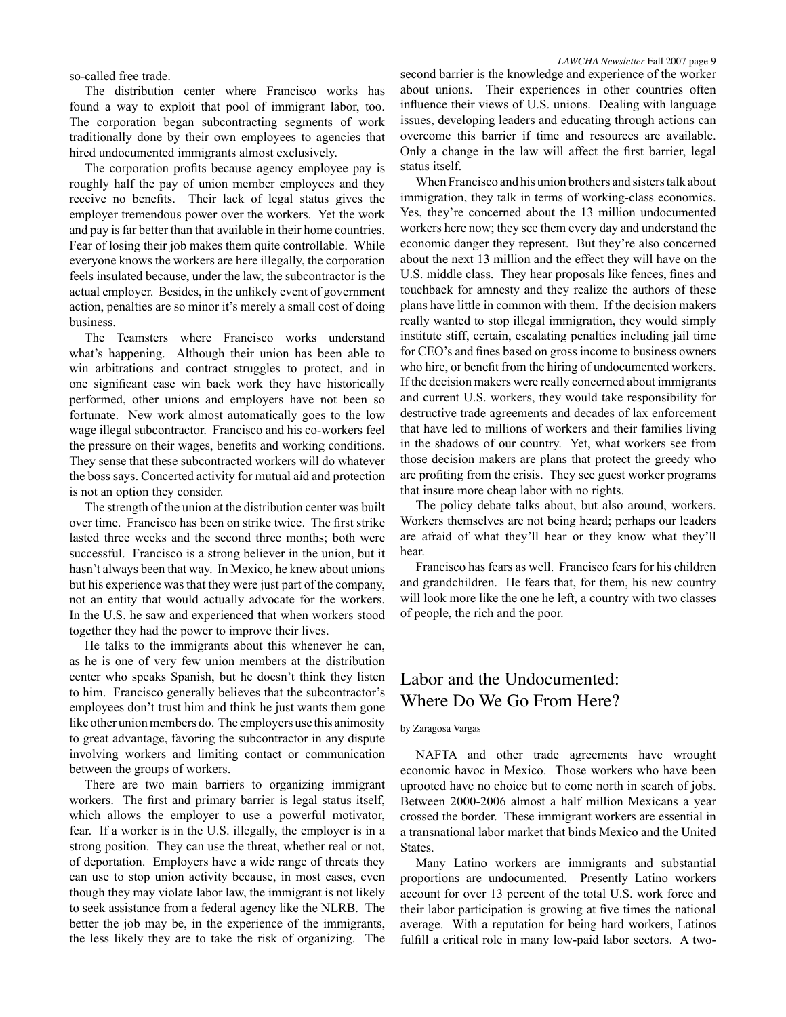so-called free trade.

The distribution center where Francisco works has found a way to exploit that pool of immigrant labor, too. The corporation began subcontracting segments of work traditionally done by their own employees to agencies that hired undocumented immigrants almost exclusively.

The corporation profits because agency employee pay is roughly half the pay of union member employees and they receive no benefits. Their lack of legal status gives the employer tremendous power over the workers. Yet the work and pay is far better than that available in their home countries. Fear of losing their job makes them quite controllable. While everyone knows the workers are here illegally, the corporation feels insulated because, under the law, the subcontractor is the actual employer. Besides, in the unlikely event of government action, penalties are so minor it's merely a small cost of doing business.

The Teamsters where Francisco works understand what's happening. Although their union has been able to win arbitrations and contract struggles to protect, and in one significant case win back work they have historically performed, other unions and employers have not been so fortunate. New work almost automatically goes to the low wage illegal subcontractor. Francisco and his co-workers feel the pressure on their wages, benefits and working conditions. They sense that these subcontracted workers will do whatever the boss says. Concerted activity for mutual aid and protection is not an option they consider.

The strength of the union at the distribution center was built over time. Francisco has been on strike twice. The first strike lasted three weeks and the second three months; both were successful. Francisco is a strong believer in the union, but it hasn't always been that way. In Mexico, he knew about unions but his experience was that they were just part of the company, not an entity that would actually advocate for the workers. In the U.S. he saw and experienced that when workers stood together they had the power to improve their lives.

He talks to the immigrants about this whenever he can, as he is one of very few union members at the distribution center who speaks Spanish, but he doesn't think they listen to him. Francisco generally believes that the subcontractor's employees don't trust him and think he just wants them gone like other union members do. The employers use this animosity to great advantage, favoring the subcontractor in any dispute involving workers and limiting contact or communication between the groups of workers.

There are two main barriers to organizing immigrant workers. The first and primary barrier is legal status itself, which allows the employer to use a powerful motivator, fear. If a worker is in the U.S. illegally, the employer is in a strong position. They can use the threat, whether real or not, of deportation. Employers have a wide range of threats they can use to stop union activity because, in most cases, even though they may violate labor law, the immigrant is not likely to seek assistance from a federal agency like the NLRB. The better the job may be, in the experience of the immigrants, the less likely they are to take the risk of organizing. The

second barrier is the knowledge and experience of the worker about unions. Their experiences in other countries often influence their views of U.S. unions. Dealing with language issues, developing leaders and educating through actions can overcome this barrier if time and resources are available. Only a change in the law will affect the first barrier, legal status itself.

When Francisco and his union brothers and sisters talk about immigration, they talk in terms of working-class economics. Yes, they're concerned about the 13 million undocumented workers here now; they see them every day and understand the economic danger they represent. But they're also concerned about the next 13 million and the effect they will have on the U.S. middle class. They hear proposals like fences, fines and touchback for amnesty and they realize the authors of these plans have little in common with them. If the decision makers really wanted to stop illegal immigration, they would simply institute stiff, certain, escalating penalties including jail time for CEO's and fines based on gross income to business owners who hire, or benefit from the hiring of undocumented workers. If the decision makers were really concerned about immigrants and current U.S. workers, they would take responsibility for destructive trade agreements and decades of lax enforcement that have led to millions of workers and their families living in the shadows of our country. Yet, what workers see from those decision makers are plans that protect the greedy who are profiting from the crisis. They see guest worker programs that insure more cheap labor with no rights.

The policy debate talks about, but also around, workers. Workers themselves are not being heard; perhaps our leaders are afraid of what they'll hear or they know what they'll hear.

Francisco has fears as well. Francisco fears for his children and grandchildren. He fears that, for them, his new country will look more like the one he left, a country with two classes of people, the rich and the poor.

### Labor and the Undocumented: Where Do We Go From Here?

#### by Zaragosa Vargas

NAFTA and other trade agreements have wrought economic havoc in Mexico. Those workers who have been uprooted have no choice but to come north in search of jobs. Between 2000-2006 almost a half million Mexicans a year crossed the border. These immigrant workers are essential in a transnational labor market that binds Mexico and the United States.

Many Latino workers are immigrants and substantial proportions are undocumented. Presently Latino workers account for over 13 percent of the total U.S. work force and their labor participation is growing at five times the national average. With a reputation for being hard workers, Latinos fulfill a critical role in many low-paid labor sectors. A two-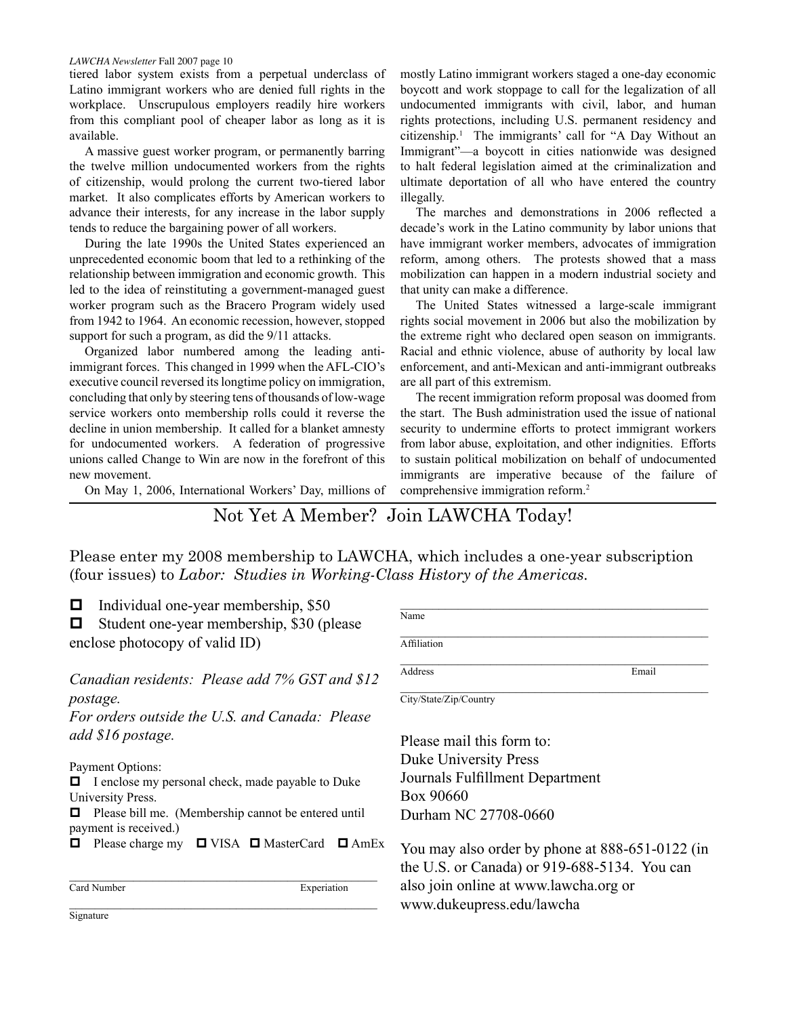tiered labor system exists from a perpetual underclass of Latino immigrant workers who are denied full rights in the workplace. Unscrupulous employers readily hire workers from this compliant pool of cheaper labor as long as it is available.

A massive guest worker program, or permanently barring the twelve million undocumented workers from the rights of citizenship, would prolong the current two-tiered labor market. It also complicates efforts by American workers to advance their interests, for any increase in the labor supply tends to reduce the bargaining power of all workers.

During the late 1990s the United States experienced an unprecedented economic boom that led to a rethinking of the relationship between immigration and economic growth. This led to the idea of reinstituting a government-managed guest worker program such as the Bracero Program widely used from 1942 to 1964. An economic recession, however, stopped support for such a program, as did the 9/11 attacks.

Organized labor numbered among the leading antiimmigrant forces. This changed in 1999 when the AFL-CIO's executive council reversed its longtime policy on immigration, concluding that only by steering tens of thousands of low-wage service workers onto membership rolls could it reverse the decline in union membership. It called for a blanket amnesty for undocumented workers. A federation of progressive unions called Change to Win are now in the forefront of this new movement.

On May 1, 2006, International Workers' Day, millions of

mostly Latino immigrant workers staged a one-day economic boycott and work stoppage to call for the legalization of all undocumented immigrants with civil, labor, and human rights protections, including U.S. permanent residency and citizenship.1 The immigrants' call for "A Day Without an Immigrant"—a boycott in cities nationwide was designed to halt federal legislation aimed at the criminalization and ultimate deportation of all who have entered the country illegally.

The marches and demonstrations in 2006 reflected a decade's work in the Latino community by labor unions that have immigrant worker members, advocates of immigration reform, among others. The protests showed that a mass mobilization can happen in a modern industrial society and that unity can make a difference.

The United States witnessed a large-scale immigrant rights social movement in 2006 but also the mobilization by the extreme right who declared open season on immigrants. Racial and ethnic violence, abuse of authority by local law enforcement, and anti-Mexican and anti-immigrant outbreaks are all part of this extremism.

The recent immigration reform proposal was doomed from the start. The Bush administration used the issue of national security to undermine efforts to protect immigrant workers from labor abuse, exploitation, and other indignities. Efforts to sustain political mobilization on behalf of undocumented immigrants are imperative because of the failure of comprehensive immigration reform.2

Not Yet A Member? Join LAWCHA Today!

Please enter my 2008 membership to LAWCHA, which includes a one-year subscription (four issues) to *Labor: Studies in Working-Class History of the Americas.*

 $\Box$  Individual one-year membership, \$50

 $\Box$  Student one-year membership, \$30 (please enclose photocopy of valid ID)

*Canadian residents: Please add 7% GST and \$12 postage.*

*For orders outside the U.S. and Canada: Please add \$16 postage.*

Payment Options:

 $\Box$  I enclose my personal check, made payable to Duke University Press.

 $\Box$  Please bill me. (Membership cannot be entered until payment is received.)

 $\Box$  Please charge my  $\Box$  VISA  $\Box$  MasterCard  $\Box$  AmEx

 $\mathcal{L}_\text{max}$  and  $\mathcal{L}_\text{max}$  and  $\mathcal{L}_\text{max}$  and  $\mathcal{L}_\text{max}$  and  $\mathcal{L}_\text{max}$ Card Number Experiation

Name  $\mathcal{L}_\text{max}$  and the contract of the contract of the contract of the contract of the contract of the contract of the contract of the contract of the contract of the contract of the contract of the contract of the contrac **Affiliation**  $\mathcal{L}_\text{max}$  and  $\mathcal{L}_\text{max}$  and  $\mathcal{L}_\text{max}$  and  $\mathcal{L}_\text{max}$  and  $\mathcal{L}_\text{max}$ Address Email City/State/Zip/Country

Please mail this form to: Duke University Press Journals Fulfillment Department Box 90660 Durham NC 27708-0660

You may also order by phone at 888-651-0122 (in the U.S. or Canada) or 919-688-5134. You can also join online at www.lawcha.org or www.dukeupress.edu/lawcha

 $\mathcal{L}_\text{max}$  and the contract of the contract of the contract of the contract of the contract of the contract of the contract of the contract of the contract of the contract of the contract of the contract of the contrac **Signature**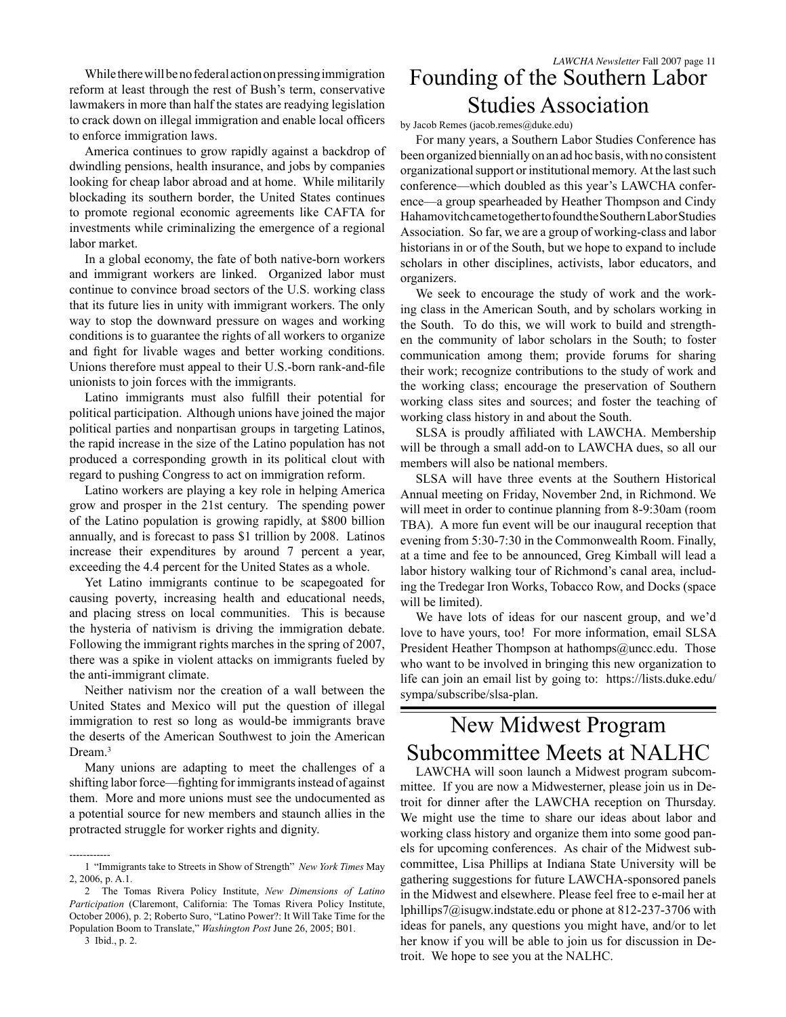While there will be no federal action on pressing immigration reform at least through the rest of Bush's term, conservative lawmakers in more than half the states are readying legislation to crack down on illegal immigration and enable local officers to enforce immigration laws.

America continues to grow rapidly against a backdrop of dwindling pensions, health insurance, and jobs by companies looking for cheap labor abroad and at home. While militarily blockading its southern border, the United States continues to promote regional economic agreements like CAFTA for investments while criminalizing the emergence of a regional labor market.

In a global economy, the fate of both native-born workers and immigrant workers are linked. Organized labor must continue to convince broad sectors of the U.S. working class that its future lies in unity with immigrant workers. The only way to stop the downward pressure on wages and working conditions is to guarantee the rights of all workers to organize and fight for livable wages and better working conditions. Unions therefore must appeal to their U.S.-born rank-and-file unionists to join forces with the immigrants.

Latino immigrants must also fulfill their potential for political participation. Although unions have joined the major political parties and nonpartisan groups in targeting Latinos, the rapid increase in the size of the Latino population has not produced a corresponding growth in its political clout with regard to pushing Congress to act on immigration reform.

Latino workers are playing a key role in helping America grow and prosper in the 21st century. The spending power of the Latino population is growing rapidly, at \$800 billion annually, and is forecast to pass \$1 trillion by 2008. Latinos increase their expenditures by around 7 percent a year, exceeding the 4.4 percent for the United States as a whole.

Yet Latino immigrants continue to be scapegoated for causing poverty, increasing health and educational needs, and placing stress on local communities. This is because the hysteria of nativism is driving the immigration debate. Following the immigrant rights marches in the spring of 2007, there was a spike in violent attacks on immigrants fueled by the anti-immigrant climate.

Neither nativism nor the creation of a wall between the United States and Mexico will put the question of illegal immigration to rest so long as would-be immigrants brave the deserts of the American Southwest to join the American Dream.<sup>3</sup>

Many unions are adapting to meet the challenges of a shifting labor force—fighting for immigrants instead of against them. More and more unions must see the undocumented as a potential source for new members and staunch allies in the protracted struggle for worker rights and dignity.

------------

## Founding of the Southern Labor Studies Association *LAWCHA Newsletter* Fall 2007 page 11

by Jacob Remes (jacob.remes@duke.edu)

For many years, a Southern Labor Studies Conference has been organized biennially on an ad hoc basis, with no consistent organizational support or institutional memory. At the last such conference—which doubled as this year's LAWCHA conference—a group spearheaded by Heather Thompson and Cindy Hahamovitch came together to found the Southern Labor Studies Association. So far, we are a group of working-class and labor historians in or of the South, but we hope to expand to include scholars in other disciplines, activists, labor educators, and organizers.

We seek to encourage the study of work and the working class in the American South, and by scholars working in the South. To do this, we will work to build and strengthen the community of labor scholars in the South; to foster communication among them; provide forums for sharing their work; recognize contributions to the study of work and the working class; encourage the preservation of Southern working class sites and sources; and foster the teaching of working class history in and about the South.

SLSA is proudly affiliated with LAWCHA. Membership will be through a small add-on to LAWCHA dues, so all our members will also be national members.

SLSA will have three events at the Southern Historical Annual meeting on Friday, November 2nd, in Richmond. We will meet in order to continue planning from 8-9:30am (room TBA). A more fun event will be our inaugural reception that evening from 5:30-7:30 in the Commonwealth Room. Finally, at a time and fee to be announced, Greg Kimball will lead a labor history walking tour of Richmond's canal area, including the Tredegar Iron Works, Tobacco Row, and Docks (space will be limited).

We have lots of ideas for our nascent group, and we'd love to have yours, too! For more information, email SLSA President Heather Thompson at hathomps@uncc.edu. Those who want to be involved in bringing this new organization to life can join an email list by going to: https://lists.duke.edu/ sympa/subscribe/slsa-plan.

# New Midwest Program Subcommittee Meets at NALHC

LAWCHA will soon launch a Midwest program subcommittee. If you are now a Midwesterner, please join us in Detroit for dinner after the LAWCHA reception on Thursday. We might use the time to share our ideas about labor and working class history and organize them into some good panels for upcoming conferences. As chair of the Midwest subcommittee, Lisa Phillips at Indiana State University will be gathering suggestions for future LAWCHA-sponsored panels in the Midwest and elsewhere. Please feel free to e-mail her at lphillips7@isugw.indstate.edu or phone at 812-237-3706 with ideas for panels, any questions you might have, and/or to let her know if you will be able to join us for discussion in Detroit. We hope to see you at the NALHC.

<sup>1 &</sup>quot;Immigrants take to Streets in Show of Strength" *New York Times* May 2, 2006, p. A.1.

<sup>2</sup> The Tomas Rivera Policy Institute, *New Dimensions of Latino Participation* (Claremont, California: The Tomas Rivera Policy Institute, October 2006), p. 2; Roberto Suro, "Latino Power?: It Will Take Time for the Population Boom to Translate," *Washington Post* June 26, 2005; B01.

<sup>3</sup> Ibid., p. 2.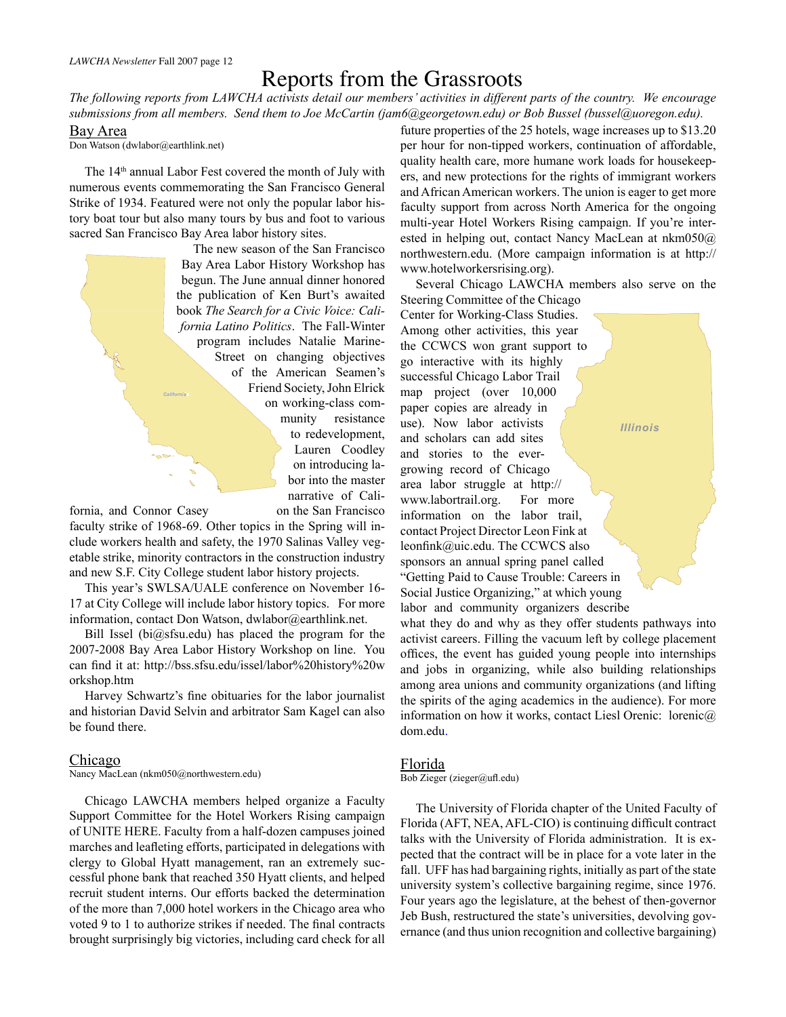### Reports from the Grassroots

*The following reports from LAWCHA activists detail our members' activities in different parts of the country. We encourage submissions from all members. Send them to Joe McCartin (jam6@georgetown.edu) or Bob Bussel (bussel@uoregon.edu).*

Bay Area

Don Watson (dwlabor@earthlink.net)

The 14th annual Labor Fest covered the month of July with numerous events commemorating the San Francisco General Strike of 1934. Featured were not only the popular labor history boat tour but also many tours by bus and foot to various sacred San Francisco Bay Area labor history sites.

> The new season of the San Francisco Bay Area Labor History Workshop has begun. The June annual dinner honored the publication of Ken Burt's awaited book *The Search for a Civic Voice: California Latino Politics*. The Fall-Winter program includes Natalie Marine-Street on changing objectives of the American Seamen's Friend Society, John Elrick on working-class community resistance to redevelopment, Lauren Coodley on introducing labor into the master narrative of Cali-

fornia, and Connor Casey on the San Francisco

*California*

faculty strike of 1968-69. Other topics in the Spring will include workers health and safety, the 1970 Salinas Valley vegetable strike, minority contractors in the construction industry and new S.F. City College student labor history projects.

This year's SWLSA/UALE conference on November 16- 17 at City College will include labor history topics. For more information, contact Don Watson, dwlabor@earthlink.net.

Bill Issel (bi@sfsu.edu) has placed the program for the 2007-2008 Bay Area Labor History Workshop on line. You can find it at: http://bss.sfsu.edu/issel/labor%20history%20w orkshop.htm

Harvey Schwartz's fine obituaries for the labor journalist and historian David Selvin and arbitrator Sam Kagel can also be found there.

#### Chicago

Nancy MacLean (nkm050@northwestern.edu)

Chicago LAWCHA members helped organize a Faculty Support Committee for the Hotel Workers Rising campaign of UNITE HERE. Faculty from a half-dozen campuses joined marches and leafleting efforts, participated in delegations with clergy to Global Hyatt management, ran an extremely successful phone bank that reached 350 Hyatt clients, and helped recruit student interns. Our efforts backed the determination of the more than 7,000 hotel workers in the Chicago area who voted 9 to 1 to authorize strikes if needed. The final contracts brought surprisingly big victories, including card check for all future properties of the 25 hotels, wage increases up to \$13.20 per hour for non-tipped workers, continuation of affordable, quality health care, more humane work loads for housekeepers, and new protections for the rights of immigrant workers and African American workers. The union is eager to get more faculty support from across North America for the ongoing multi-year Hotel Workers Rising campaign. If you're interested in helping out, contact Nancy MacLean at nkm050@ northwestern.edu. (More campaign information is at http:// www.hotelworkersrising.org).

Several Chicago LAWCHA members also serve on the Steering Committee of the Chicago

Center for Working-Class Studies. Among other activities, this year the CCWCS won grant support to go interactive with its highly successful Chicago Labor Trail map project (over 10,000 paper copies are already in use). Now labor activists and scholars can add sites and stories to the evergrowing record of Chicago area labor struggle at http:// www.labortrail.org. For more information on the labor trail, contact Project Director Leon Fink at leonfink@uic.edu. The CCWCS also sponsors an annual spring panel called "Getting Paid to Cause Trouble: Careers in Social Justice Organizing," at which young labor and community organizers describe what they do and why as they offer students pathways into *Illinois*

activist careers. Filling the vacuum left by college placement offices, the event has guided young people into internships and jobs in organizing, while also building relationships among area unions and community organizations (and lifting the spirits of the aging academics in the audience). For more information on how it works, contact Liesl Orenic: lorenic@ dom.edu.

#### Florida

Bob Zieger (zieger@ufl.edu)

The University of Florida chapter of the United Faculty of Florida (AFT, NEA, AFL-CIO) is continuing difficult contract talks with the University of Florida administration. It is expected that the contract will be in place for a vote later in the fall. UFF has had bargaining rights, initially as part of the state university system's collective bargaining regime, since 1976. Four years ago the legislature, at the behest of then-governor Jeb Bush, restructured the state's universities, devolving governance (and thus union recognition and collective bargaining)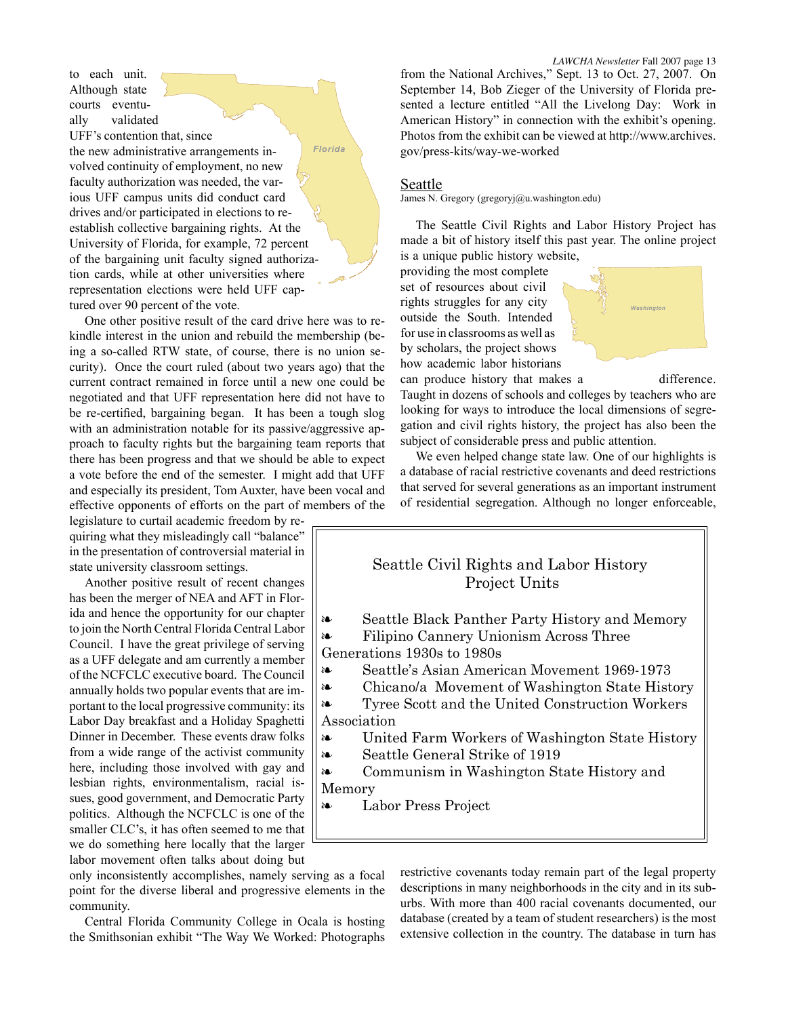to each unit. Although state courts eventually validated UFF's contention that, since the new administrative arrangements involved continuity of employment, no new faculty authorization was needed, the various UFF campus units did conduct card drives and/or participated in elections to reestablish collective bargaining rights. At the University of Florida, for example, 72 percent of the bargaining unit faculty signed authorization cards, while at other universities where representation elections were held UFF captured over 90 percent of the vote. *Florida*

One other positive result of the card drive here was to rekindle interest in the union and rebuild the membership (being a so-called RTW state, of course, there is no union security). Once the court ruled (about two years ago) that the current contract remained in force until a new one could be negotiated and that UFF representation here did not have to be re-certified, bargaining began. It has been a tough slog with an administration notable for its passive/aggressive approach to faculty rights but the bargaining team reports that there has been progress and that we should be able to expect a vote before the end of the semester. I might add that UFF and especially its president, Tom Auxter, have been vocal and effective opponents of efforts on the part of members of the

legislature to curtail academic freedom by requiring what they misleadingly call "balance" in the presentation of controversial material in state university classroom settings.

Another positive result of recent changes has been the merger of NEA and AFT in Florida and hence the opportunity for our chapter to join the North Central Florida Central Labor Council. I have the great privilege of serving as a UFF delegate and am currently a member of the NCFCLC executive board. The Council annually holds two popular events that are important to the local progressive community: its Labor Day breakfast and a Holiday Spaghetti Dinner in December. These events draw folks from a wide range of the activist community here, including those involved with gay and lesbian rights, environmentalism, racial issues, good government, and Democratic Party politics. Although the NCFCLC is one of the smaller CLC's, it has often seemed to me that we do something here locally that the larger labor movement often talks about doing but from the National Archives," Sept. 13 to Oct. 27, 2007. On September 14, Bob Zieger of the University of Florida pre-

*LAWCHA Newsletter* Fall 2007 page 13

sented a lecture entitled "All the Livelong Day: Work in American History" in connection with the exhibit's opening. Photos from the exhibit can be viewed at http://www.archives. gov/press-kits/way-we-worked

#### **Seattle**

James N. Gregory (gregoryj@u.washington.edu)

The Seattle Civil Rights and Labor History Project has made a bit of history itself this past year. The online project is a unique public history website,

providing the most complete set of resources about civil rights struggles for any city outside the South. Intended for use in classrooms as well as by scholars, the project shows how academic labor historians



can produce history that makes a difference. Taught in dozens of schools and colleges by teachers who are

looking for ways to introduce the local dimensions of segregation and civil rights history, the project has also been the subject of considerable press and public attention.

We even helped change state law. One of our highlights is a database of racial restrictive covenants and deed restrictions that served for several generations as an important instrument of residential segregation. Although no longer enforceable,

### Seattle Civil Rights and Labor History Project Units

- Seattle Black Panther Party History and Memory Filipino Cannery Unionism Across Three ❧ ❧
- Generations 1930s to 1980s
- Seattle's Asian American Movement 1969-1973 ❧
- Chicano/a Movement of Washington State History ❧

Tyree Scott and the United Construction Workers Association ❧

- United Farm Workers of Washington State History ❧
- Seattle General Strike of 1919 ❧

Communism in Washington State History and Memory ❧

Labor Press Project

❧

only inconsistently accomplishes, namely serving as a focal point for the diverse liberal and progressive elements in the community.

Central Florida Community College in Ocala is hosting the Smithsonian exhibit "The Way We Worked: Photographs restrictive covenants today remain part of the legal property descriptions in many neighborhoods in the city and in its suburbs. With more than 400 racial covenants documented, our database (created by a team of student researchers) is the most extensive collection in the country. The database in turn has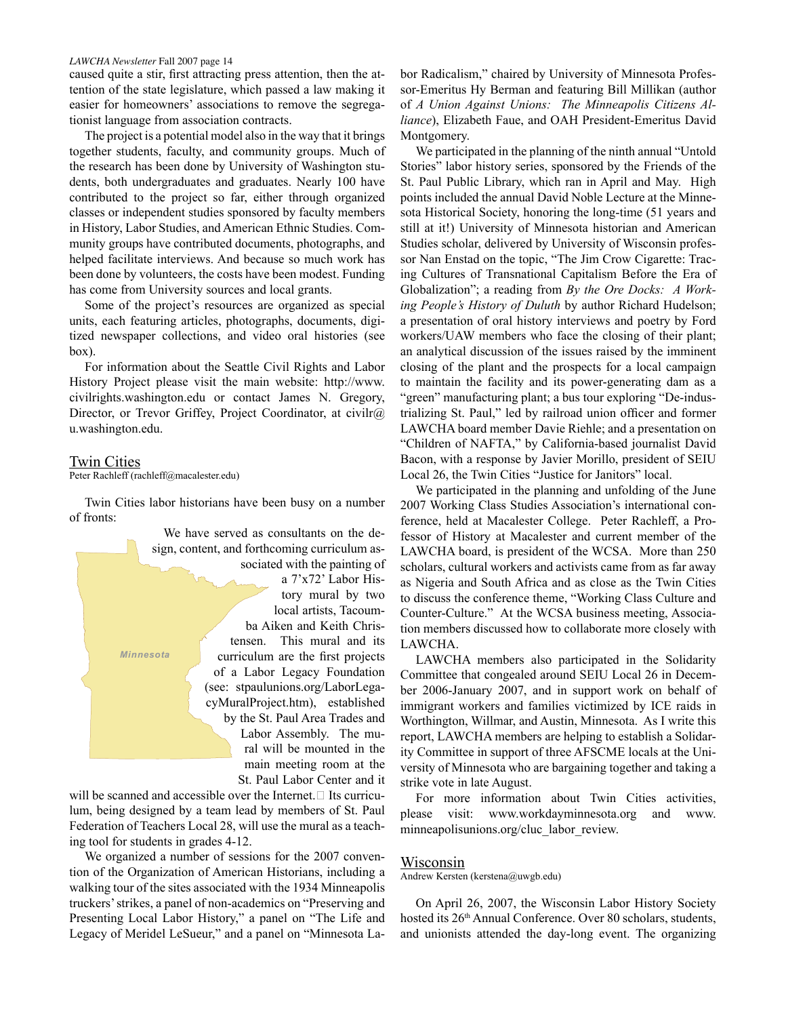caused quite a stir, first attracting press attention, then the attention of the state legislature, which passed a law making it easier for homeowners' associations to remove the segregationist language from association contracts.

The project is a potential model also in the way that it brings together students, faculty, and community groups. Much of the research has been done by University of Washington students, both undergraduates and graduates. Nearly 100 have contributed to the project so far, either through organized classes or independent studies sponsored by faculty members in History, Labor Studies, and American Ethnic Studies. Community groups have contributed documents, photographs, and helped facilitate interviews. And because so much work has been done by volunteers, the costs have been modest. Funding has come from University sources and local grants.

Some of the project's resources are organized as special units, each featuring articles, photographs, documents, digitized newspaper collections, and video oral histories (see box).

For information about the Seattle Civil Rights and Labor History Project please visit the main website: http://www. civilrights.washington.edu or contact James N. Gregory, Director, or Trevor Griffey, Project Coordinator, at civilr@ u.washington.edu.

#### Twin Cities

Peter Rachleff (rachleff@macalester.edu)

Twin Cities labor historians have been busy on a number of fronts:



will be scanned and accessible over the Internet.□ Its curriculum, being designed by a team lead by members of St. Paul Federation of Teachers Local 28, will use the mural as a teaching tool for students in grades 4-12.

We organized a number of sessions for the 2007 convention of the Organization of American Historians, including a walking tour of the sites associated with the 1934 Minneapolis truckers' strikes, a panel of non-academics on "Preserving and Presenting Local Labor History," a panel on "The Life and Legacy of Meridel LeSueur," and a panel on "Minnesota Labor Radicalism," chaired by University of Minnesota Professor-Emeritus Hy Berman and featuring Bill Millikan (author of *A Union Against Unions: The Minneapolis Citizens Alliance*), Elizabeth Faue, and OAH President-Emeritus David Montgomery.

We participated in the planning of the ninth annual "Untold Stories" labor history series, sponsored by the Friends of the St. Paul Public Library, which ran in April and May. High points included the annual David Noble Lecture at the Minnesota Historical Society, honoring the long-time (51 years and still at it!) University of Minnesota historian and American Studies scholar, delivered by University of Wisconsin professor Nan Enstad on the topic, "The Jim Crow Cigarette: Tracing Cultures of Transnational Capitalism Before the Era of Globalization"; a reading from *By the Ore Docks: A Working People's History of Duluth* by author Richard Hudelson; a presentation of oral history interviews and poetry by Ford workers/UAW members who face the closing of their plant; an analytical discussion of the issues raised by the imminent closing of the plant and the prospects for a local campaign to maintain the facility and its power-generating dam as a "green" manufacturing plant; a bus tour exploring "De-industrializing St. Paul," led by railroad union officer and former LAWCHA board member Davie Riehle; and a presentation on "Children of NAFTA," by California-based journalist David Bacon, with a response by Javier Morillo, president of SEIU Local 26, the Twin Cities "Justice for Janitors" local.

We participated in the planning and unfolding of the June 2007 Working Class Studies Association's international conference, held at Macalester College. Peter Rachleff, a Professor of History at Macalester and current member of the LAWCHA board, is president of the WCSA. More than 250 scholars, cultural workers and activists came from as far away as Nigeria and South Africa and as close as the Twin Cities to discuss the conference theme, "Working Class Culture and Counter-Culture." At the WCSA business meeting, Association members discussed how to collaborate more closely with LAWCHA.

LAWCHA members also participated in the Solidarity Committee that congealed around SEIU Local 26 in December 2006-January 2007, and in support work on behalf of immigrant workers and families victimized by ICE raids in Worthington, Willmar, and Austin, Minnesota. As I write this report, LAWCHA members are helping to establish a Solidarity Committee in support of three AFSCME locals at the University of Minnesota who are bargaining together and taking a strike vote in late August.

For more information about Twin Cities activities, please visit: www.workdayminnesota.org and www. minneapolisunions.org/cluc\_labor\_review.

#### Wisconsin

Andrew Kersten (kerstena@uwgb.edu)

On April 26, 2007, the Wisconsin Labor History Society hosted its 26<sup>th</sup> Annual Conference. Over 80 scholars, students, and unionists attended the day-long event. The organizing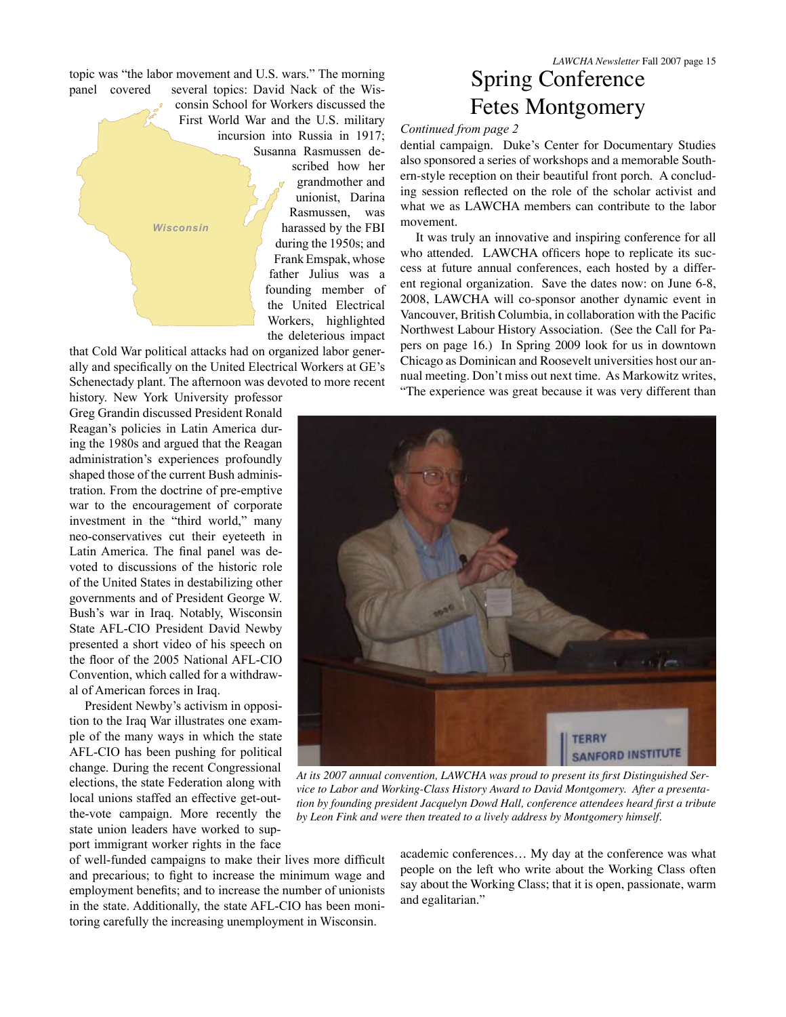topic was "the labor movement and U.S. wars." The morning panel covered several topics: David Nack of the Wis-

consin School for Workers discussed the First World War and the U.S. military incursion into Russia in 1917; Susanna Rasmussen described how her grandmother and unionist, Darina Rasmussen, was harassed by the FBI during the 1950s; and Frank Emspak, whose father Julius was a founding member of the United Electrical Workers, highlighted *Wisconsin*

that Cold War political attacks had on organized labor generally and specifically on the United Electrical Workers at GE's Schenectady plant. The afternoon was devoted to more recent

the deleterious impact

history. New York University professor Greg Grandin discussed President Ronald Reagan's policies in Latin America during the 1980s and argued that the Reagan administration's experiences profoundly shaped those of the current Bush administration. From the doctrine of pre-emptive war to the encouragement of corporate investment in the "third world," many neo-conservatives cut their eyeteeth in Latin America. The final panel was devoted to discussions of the historic role of the United States in destabilizing other governments and of President George W. Bush's war in Iraq. Notably, Wisconsin State AFL-CIO President David Newby presented a short video of his speech on the floor of the 2005 National AFL-CIO Convention, which called for a withdrawal of American forces in Iraq.

President Newby's activism in opposition to the Iraq War illustrates one example of the many ways in which the state AFL-CIO has been pushing for political change. During the recent Congressional elections, the state Federation along with local unions staffed an effective get-outthe-vote campaign. More recently the state union leaders have worked to support immigrant worker rights in the face

of well-funded campaigns to make their lives more difficult and precarious; to fight to increase the minimum wage and employment benefits; and to increase the number of unionists in the state. Additionally, the state AFL-CIO has been monitoring carefully the increasing unemployment in Wisconsin.

*LAWCHA Newsletter* Fall 2007 page 15 Spring Conference Fetes Montgomery

#### *Continued from page 2*

dential campaign. Duke's Center for Documentary Studies also sponsored a series of workshops and a memorable Southern-style reception on their beautiful front porch. A concluding session reflected on the role of the scholar activist and what we as LAWCHA members can contribute to the labor movement.

It was truly an innovative and inspiring conference for all who attended. LAWCHA officers hope to replicate its success at future annual conferences, each hosted by a different regional organization. Save the dates now: on June 6-8, 2008, LAWCHA will co-sponsor another dynamic event in Vancouver, British Columbia, in collaboration with the Pacific Northwest Labour History Association. (See the Call for Papers on page 16.) In Spring 2009 look for us in downtown Chicago as Dominican and Roosevelt universities host our annual meeting. Don't miss out next time. As Markowitz writes, "The experience was great because it was very different than



*vice to Labor and Working-Class History Award to David Montgomery. After a presentation by founding president Jacquelyn Dowd Hall, conference attendees heard first a tribute by Leon Fink and were then treated to a lively address by Montgomery himself.*

academic conferences… My day at the conference was what people on the left who write about the Working Class often say about the Working Class; that it is open, passionate, warm and egalitarian."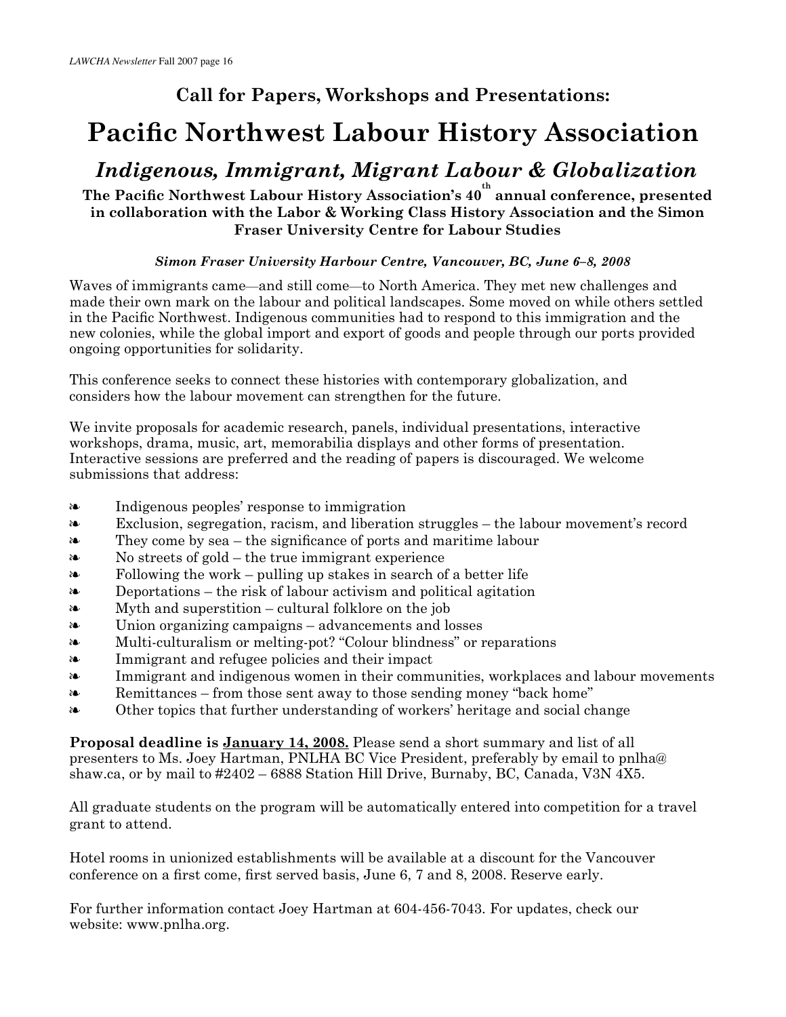## **Call for Papers, Workshops and Presentations:**

# **Pacific Northwest Labour History Association**

# *Indigenous, Immigrant, Migrant Labour & Globalization*

### **The Pacific Northwest Labour History Association's 40 th annual conference, presented in collaboration with the Labor & Working Class History Association and the Simon Fraser University Centre for Labour Studies**

#### *Simon Fraser University Harbour Centre, Vancouver, BC, June 6–8, 2008*

Waves of immigrants came—and still come—to North America. They met new challenges and made their own mark on the labour and political landscapes. Some moved on while others settled in the Pacific Northwest. Indigenous communities had to respond to this immigration and the new colonies, while the global import and export of goods and people through our ports provided ongoing opportunities for solidarity.

This conference seeks to connect these histories with contemporary globalization, and considers how the labour movement can strengthen for the future.

We invite proposals for academic research, panels, individual presentations, interactive workshops, drama, music, art, memorabilia displays and other forms of presentation. Interactive sessions are preferred and the reading of papers is discouraged. We welcome submissions that address:

- Indigenous peoples' response to immigration ❧
- Exclusion, segregation, racism, and liberation struggles the labour movement's record ❧
- They come by sea the significance of ports and maritime labour ❧
- No streets of gold the true immigrant experience ❧
- Following the work pulling up stakes in search of a better life ❧
- Deportations the risk of labour activism and political agitation  $\lambda$
- Myth and superstition cultural folklore on the job  $\lambda$
- Union organizing campaigns advancements and losses ❧
- Multi-culturalism or melting-pot? "Colour blindness" or reparations  $\lambda$
- Immigrant and refugee policies and their impact ❧
- Immigrant and indigenous women in their communities, workplaces and labour movements  $\lambda$
- Remittances from those sent away to those sending money "back home" ❧
- Other topics that further understanding of workers' heritage and social change ❧

**Proposal deadline is January 14, 2008.** Please send a short summary and list of all presenters to Ms. Joey Hartman, PNLHA BC Vice President, preferably by email to pnlha@ shaw.ca, or by mail to #2402 – 6888 Station Hill Drive, Burnaby, BC, Canada, V3N 4X5.

All graduate students on the program will be automatically entered into competition for a travel grant to attend.

Hotel rooms in unionized establishments will be available at a discount for the Vancouver conference on a first come, first served basis, June 6, 7 and 8, 2008. Reserve early.

For further information contact Joey Hartman at 604-456-7043. For updates, check our website: www.pnlha.org.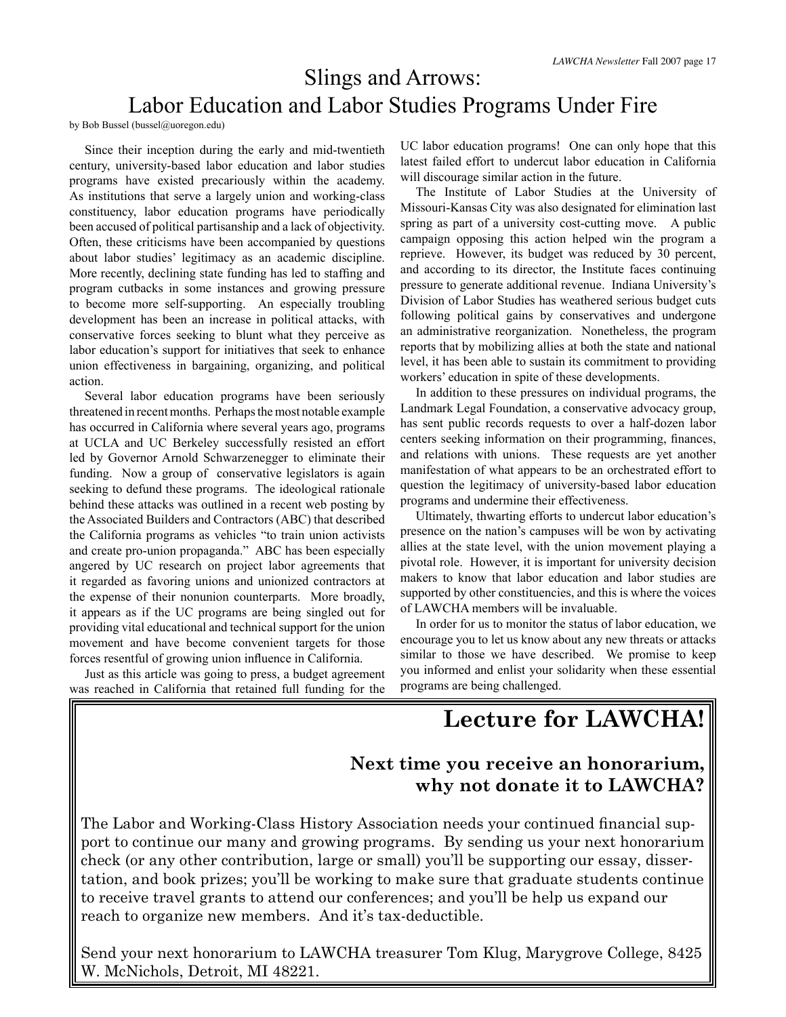# Slings and Arrows: Labor Education and Labor Studies Programs Under Fire

by Bob Bussel (bussel@uoregon.edu)

Since their inception during the early and mid-twentieth century, university-based labor education and labor studies programs have existed precariously within the academy. As institutions that serve a largely union and working-class constituency, labor education programs have periodically been accused of political partisanship and a lack of objectivity. Often, these criticisms have been accompanied by questions about labor studies' legitimacy as an academic discipline. More recently, declining state funding has led to staffing and program cutbacks in some instances and growing pressure to become more self-supporting. An especially troubling development has been an increase in political attacks, with conservative forces seeking to blunt what they perceive as labor education's support for initiatives that seek to enhance union effectiveness in bargaining, organizing, and political action.

Several labor education programs have been seriously threatened in recent months. Perhaps the most notable example has occurred in California where several years ago, programs at UCLA and UC Berkeley successfully resisted an effort led by Governor Arnold Schwarzenegger to eliminate their funding. Now a group of conservative legislators is again seeking to defund these programs. The ideological rationale behind these attacks was outlined in a recent web posting by the Associated Builders and Contractors (ABC) that described the California programs as vehicles "to train union activists and create pro-union propaganda." ABC has been especially angered by UC research on project labor agreements that it regarded as favoring unions and unionized contractors at the expense of their nonunion counterparts. More broadly, it appears as if the UC programs are being singled out for providing vital educational and technical support for the union movement and have become convenient targets for those forces resentful of growing union influence in California.

Just as this article was going to press, a budget agreement was reached in California that retained full funding for the UC labor education programs! One can only hope that this latest failed effort to undercut labor education in California will discourage similar action in the future.

The Institute of Labor Studies at the University of Missouri-Kansas City was also designated for elimination last spring as part of a university cost-cutting move. A public campaign opposing this action helped win the program a reprieve. However, its budget was reduced by 30 percent, and according to its director, the Institute faces continuing pressure to generate additional revenue. Indiana University's Division of Labor Studies has weathered serious budget cuts following political gains by conservatives and undergone an administrative reorganization. Nonetheless, the program reports that by mobilizing allies at both the state and national level, it has been able to sustain its commitment to providing workers' education in spite of these developments.

In addition to these pressures on individual programs, the Landmark Legal Foundation, a conservative advocacy group, has sent public records requests to over a half-dozen labor centers seeking information on their programming, finances, and relations with unions. These requests are yet another manifestation of what appears to be an orchestrated effort to question the legitimacy of university-based labor education programs and undermine their effectiveness.

Ultimately, thwarting efforts to undercut labor education's presence on the nation's campuses will be won by activating allies at the state level, with the union movement playing a pivotal role. However, it is important for university decision makers to know that labor education and labor studies are supported by other constituencies, and this is where the voices of LAWCHA members will be invaluable.

In order for us to monitor the status of labor education, we encourage you to let us know about any new threats or attacks similar to those we have described. We promise to keep you informed and enlist your solidarity when these essential programs are being challenged.

**Lecture for LAWCHA!**

### **Next time you receive an honorarium, why not donate it to LAWCHA?**

The Labor and Working-Class History Association needs your continued financial support to continue our many and growing programs. By sending us your next honorarium check (or any other contribution, large or small) you'll be supporting our essay, dissertation, and book prizes; you'll be working to make sure that graduate students continue to receive travel grants to attend our conferences; and you'll be help us expand our reach to organize new members. And it's tax-deductible.

Send your next honorarium to LAWCHA treasurer Tom Klug, Marygrove College, 8425 W. McNichols, Detroit, MI 48221.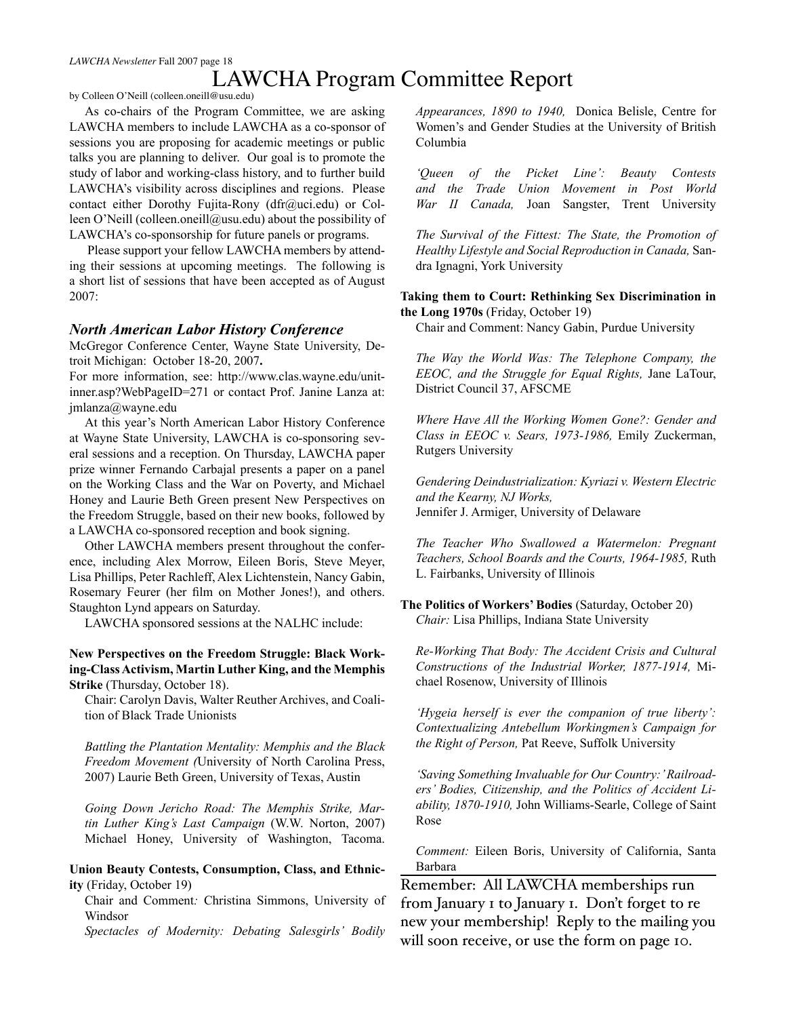### LAWCHA Program Committee Report

by Colleen O'Neill (colleen.oneill@usu.edu)

As co-chairs of the Program Committee, we are asking LAWCHA members to include LAWCHA as a co-sponsor of sessions you are proposing for academic meetings or public talks you are planning to deliver. Our goal is to promote the study of labor and working-class history, and to further build LAWCHA's visibility across disciplines and regions. Please contact either Dorothy Fujita-Rony (dfr@uci.edu) or Colleen O'Neill (colleen.oneill@usu.edu) about the possibility of LAWCHA's co-sponsorship for future panels or programs.

 Please support your fellow LAWCHA members by attending their sessions at upcoming meetings. The following is a short list of sessions that have been accepted as of August 2007:

#### *North American Labor History Conference*

McGregor Conference Center, Wayne State University, Detroit Michigan: October 18-20, 2007**.**

For more information, see: http://www.clas.wayne.edu/unitinner.asp?WebPageID=271 or contact Prof. Janine Lanza at: jmlanza@wayne.edu

At this year's North American Labor History Conference at Wayne State University, LAWCHA is co-sponsoring several sessions and a reception. On Thursday, LAWCHA paper prize winner Fernando Carbajal presents a paper on a panel on the Working Class and the War on Poverty, and Michael Honey and Laurie Beth Green present New Perspectives on the Freedom Struggle, based on their new books, followed by a LAWCHA co-sponsored reception and book signing.

Other LAWCHA members present throughout the conference, including Alex Morrow, Eileen Boris, Steve Meyer, Lisa Phillips, Peter Rachleff, Alex Lichtenstein, Nancy Gabin, Rosemary Feurer (her film on Mother Jones!), and others. Staughton Lynd appears on Saturday.

LAWCHA sponsored sessions at the NALHC include:

**New Perspectives on the Freedom Struggle: Black Working-Class Activism, Martin Luther King, and the Memphis Strike** (Thursday, October 18).

Chair: Carolyn Davis, Walter Reuther Archives, and Coalition of Black Trade Unionists

*Battling the Plantation Mentality: Memphis and the Black Freedom Movement (*University of North Carolina Press, 2007) Laurie Beth Green, University of Texas, Austin

*Going Down Jericho Road: The Memphis Strike, Martin Luther King's Last Campaign* (W.W. Norton, 2007) Michael Honey, University of Washington, Tacoma.

#### **Union Beauty Contests, Consumption, Class, and Ethnicity** (Friday, October 19)

Chair and Comment*:* Christina Simmons, University of Windsor

*Spectacles of Modernity: Debating Salesgirls' Bodily* 

*Appearances, 1890 to 1940,* Donica Belisle, Centre for Women's and Gender Studies at the University of British Columbia

*'Queen of the Picket Line': Beauty Contests and the Trade Union Movement in Post World War II Canada,* Joan Sangster, Trent University

*The Survival of the Fittest: The State, the Promotion of Healthy Lifestyle and Social Reproduction in Canada,* Sandra Ignagni, York University

**Taking them to Court: Rethinking Sex Discrimination in the Long 1970s** (Friday, October 19)

Chair and Comment: Nancy Gabin, Purdue University

*The Way the World Was: The Telephone Company, the EEOC, and the Struggle for Equal Rights,* Jane LaTour, District Council 37, AFSCME

*Where Have All the Working Women Gone?: Gender and Class in EEOC v. Sears, 1973-1986,* Emily Zuckerman, Rutgers University

*Gendering Deindustrialization: Kyriazi v. Western Electric and the Kearny, NJ Works,*  Jennifer J. Armiger, University of Delaware

*The Teacher Who Swallowed a Watermelon: Pregnant Teachers, School Boards and the Courts, 1964-1985,* Ruth L. Fairbanks, University of Illinois

**The Politics of Workers' Bodies** (Saturday, October 20) *Chair:* Lisa Phillips, Indiana State University

*Re-Working That Body: The Accident Crisis and Cultural Constructions of the Industrial Worker, 1877-1914,* Michael Rosenow, University of Illinois

*'Hygeia herself is ever the companion of true liberty': Contextualizing Antebellum Workingmen's Campaign for the Right of Person,* Pat Reeve, Suffolk University

*'Saving Something Invaluable for Our Country:' Railroaders' Bodies, Citizenship, and the Politics of Accident Liability, 1870-1910,* John Williams-Searle, College of Saint Rose

*Comment:* Eileen Boris, University of California, Santa Barbara

Remember: All LAWCHA memberships run from January I to January I. Don't forget to renew your membership! Reply to the mailing you will soon receive, or use the form on page 10.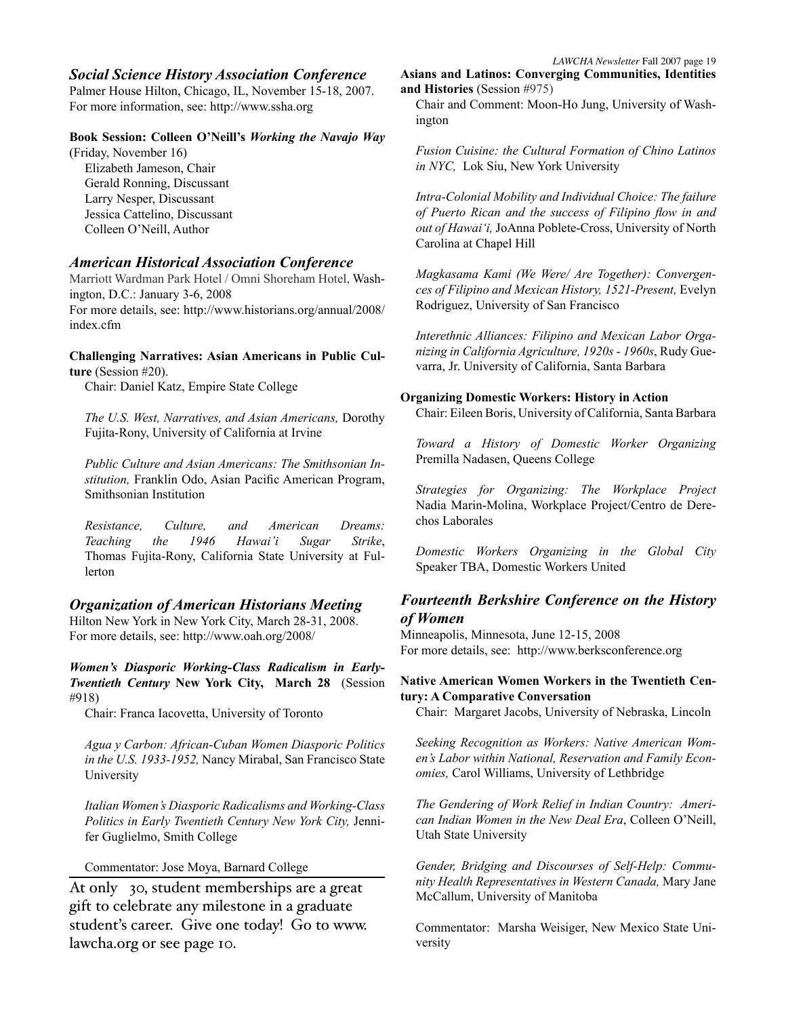#### *Social Science History Association Conference*

Palmer House Hilton, Chicago, IL, November 15-18, 2007. For more information, see: http://www.ssha.org

#### **Book Session: Colleen O'Neill's** *Working the Navajo Way*

(Friday, November 16) Elizabeth Jameson, Chair Gerald Ronning, Discussant Larry Nesper, Discussant Jessica Cattelino, Discussant Colleen O'Neill, Author

#### *American Historical Association Conference*

Marriott Wardman Park Hotel / Omni Shoreham Hotel, Washington, D.C.: January 3-6, 2008 For more details, see: http://www.historians.org/annual/2008/ index.cfm

#### **Challenging Narratives: Asian Americans in Public Culture** (Session #20).

Chair: Daniel Katz, Empire State College

*The U.S. West, Narratives, and Asian Americans,* Dorothy Fujita-Rony, University of California at Irvine

*Public Culture and Asian Americans: The Smithsonian Institution,* Franklin Odo, Asian Pacific American Program, Smithsonian Institution

*Resistance, Culture, and American Dreams: Teaching the 1946 Hawai'i Sugar Strike*, Thomas Fujita-Rony, California State University at Fullerton

#### *Organization of American Historians Meeting*

Hilton New York in New York City, March 28-31, 2008. For more details, see: http://www.oah.org/2008/

*Women's Diasporic Working-Class Radicalism in Early-Twentieth Century* **New York City, March 28** (Session #918)

Chair: Franca Iacovetta, University of Toronto

*Agua y Carbon: African-Cuban Women Diasporic Politics in the U.S. 1933-1952,* Nancy Mirabal, San Francisco State University

*Italian Women's Diasporic Radicalisms and Working-Class Politics in Early Twentieth Century New York City,* Jennifer Guglielmo, Smith College

Commentator: Jose Moya, Barnard College

At only \$30, student memberships are a great gift to celebrate any milestone in a graduate student's career. Give one today! Go to www. lawcha.org or see page 10.

**Asians and Latinos: Converging Communities, Identities and Histories** (Session #975)

Chair and Comment: Moon-Ho Jung, University of Washington

*Fusion Cuisine: the Cultural Formation of Chino Latinos in NYC,* Lok Siu, New York University

*Intra-Colonial Mobility and Individual Choice: The failure of Puerto Rican and the success of Filipino flow in and out of Hawai'i,* JoAnna Poblete-Cross, University of North Carolina at Chapel Hill

*Magkasama Kami (We Were/ Are Together): Convergences of Filipino and Mexican History, 1521-Present,* Evelyn Rodriguez, University of San Francisco

*Interethnic Alliances: Filipino and Mexican Labor Organizing in California Agriculture, 1920s - 1960s*, Rudy Guevarra, Jr. University of California, Santa Barbara

#### **Organizing Domestic Workers: History in Action**

Chair: Eileen Boris, University of California, Santa Barbara

*Toward a History of Domestic Worker Organizing* Premilla Nadasen, Queens College

*Strategies for Organizing: The Workplace Project* Nadia Marin-Molina, Workplace Project/Centro de Derechos Laborales

*Domestic Workers Organizing in the Global City* Speaker TBA, Domestic Workers United

#### *Fourteenth Berkshire Conference on the History of Women*

Minneapolis, Minnesota, June 12-15, 2008 For more details, see: http://www.berksconference.org

#### **Native American Women Workers in the Twentieth Century: A Comparative Conversation**

Chair: Margaret Jacobs, University of Nebraska, Lincoln

*Seeking Recognition as Workers: Native American Women's Labor within National, Reservation and Family Economies,* Carol Williams, University of Lethbridge

*The Gendering of Work Relief in Indian Country: American Indian Women in the New Deal Era*, Colleen O'Neill, Utah State University

*Gender, Bridging and Discourses of Self-Help: Community Health Representatives in Western Canada,* Mary Jane McCallum, University of Manitoba

Commentator: Marsha Weisiger, New Mexico State University